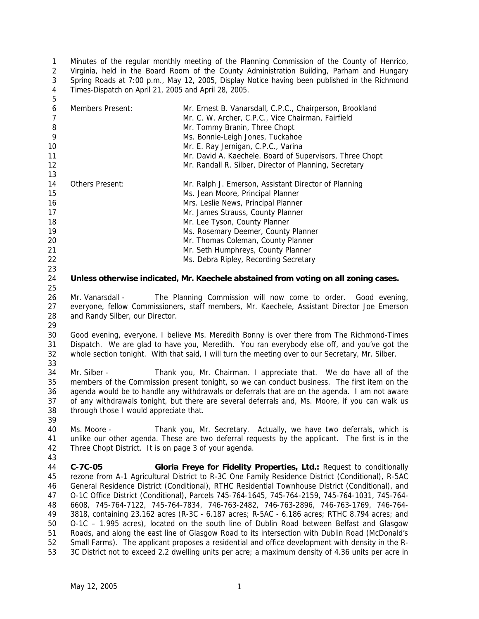Minutes of the regular monthly meeting of the Planning Commission of the County of Henrico, Virginia, held in the Board Room of the County Administration Building, Parham and Hungary Spring Roads at 7:00 p.m., May 12, 2005, Display Notice having been published in the Richmond Times-Dispatch on April 21, 2005 and April 28, 2005. 

| 6<br>$\overline{7}$ | Members Present:                                      | Mr. Ernest B. Vanarsdall, C.P.C., Chairperson, Brookland<br>Mr. C. W. Archer, C.P.C., Vice Chairman, Fairfield |
|---------------------|-------------------------------------------------------|----------------------------------------------------------------------------------------------------------------|
| 8                   |                                                       | Mr. Tommy Branin, Three Chopt                                                                                  |
| 9                   |                                                       | Ms. Bonnie-Leigh Jones, Tuckahoe                                                                               |
| 10                  |                                                       | Mr. E. Ray Jernigan, C.P.C., Varina                                                                            |
| 11                  |                                                       | Mr. David A. Kaechele. Board of Supervisors, Three Chopt                                                       |
| 12                  |                                                       | Mr. Randall R. Silber, Director of Planning, Secretary                                                         |
| 13                  |                                                       |                                                                                                                |
| 14                  | Others Present:                                       | Mr. Ralph J. Emerson, Assistant Director of Planning                                                           |
| 15                  |                                                       | Ms. Jean Moore, Principal Planner                                                                              |
| 16                  |                                                       | Mrs. Leslie News, Principal Planner                                                                            |
| 17                  |                                                       | Mr. James Strauss, County Planner                                                                              |
| 18                  |                                                       | Mr. Lee Tyson, County Planner                                                                                  |
| 19                  |                                                       | Ms. Rosemary Deemer, County Planner                                                                            |
| 20                  |                                                       | Mr. Thomas Coleman, County Planner                                                                             |
| 21                  |                                                       | Mr. Seth Humphreys, County Planner                                                                             |
| 22                  |                                                       | Ms. Debra Ripley, Recording Secretary                                                                          |
| 23                  |                                                       |                                                                                                                |
| 24                  |                                                       | Unless otherwise indicated, Mr. Kaechele abstained from voting on all zoning cases.                            |
| 25                  |                                                       |                                                                                                                |
| 26                  | Mr. Vanarsdall -                                      | The Planning Commission will now come to order.<br>Good evening,                                               |
| 27                  |                                                       | everyone, fellow Commissioners, staff members, Mr. Kaechele, Assistant Director Joe Emerson                    |
| 28                  | and Randy Silber, our Director.                       |                                                                                                                |
| 29                  |                                                       |                                                                                                                |
| 30                  |                                                       | Good evening, everyone. I believe Ms. Meredith Bonny is over there from The Richmond-Times                     |
| 31                  |                                                       | Dispatch. We are glad to have you, Meredith. You ran everybody else off, and you've got the                    |
| 32                  |                                                       | whole section tonight. With that said, I will turn the meeting over to our Secretary, Mr. Silber.              |
| 33                  |                                                       |                                                                                                                |
| 34                  | Mr. Silber -                                          | Thank you, Mr. Chairman. I appreciate that. We do have all of the                                              |
| 35                  |                                                       | members of the Commission present tonight, so we can conduct business. The first item on the                   |
| 36                  |                                                       | agenda would be to handle any withdrawals or deferrals that are on the agenda. I am not aware                  |
| 37                  |                                                       | of any withdrawals tonight, but there are several deferrals and, Ms. Moore, if you can walk us                 |
| 38                  | through those I would appreciate that.                |                                                                                                                |
| 39                  |                                                       |                                                                                                                |
| 40                  | Ms. Moore -                                           | Thank you, Mr. Secretary. Actually, we have two deferrals, which is                                            |
| 41                  |                                                       | unlike our other agenda. These are two deferral requests by the applicant. The first is in the                 |
| 42                  | Three Chopt District. It is on page 3 of your agenda. |                                                                                                                |
| 43                  |                                                       |                                                                                                                |
| 44                  | $C-7C-05$                                             | Gloria Freye for Fidelity Properties, Ltd.: Request to conditionally                                           |
| 45                  |                                                       | rezone from A-1 Agricultural District to R-3C One Family Residence District (Conditional), R-5AC               |
| 46                  |                                                       | General Residence District (Conditional), RTHC Residential Townhouse District (Conditional), and               |
| 47                  |                                                       | O-1C Office District (Conditional), Parcels 745-764-1645, 745-764-2159, 745-764-1031, 745-764-                 |
| 48                  |                                                       | 6608, 745-764-7122, 745-764-7834, 746-763-2482, 746-763-2896, 746-763-1769, 746-764-                           |
| 49                  |                                                       | 3818, containing 23.162 acres (R-3C - 6.187 acres; R-5AC - 6.186 acres; RTHC 8.794 acres; and                  |
| 50                  |                                                       | O-1C - 1.995 acres), located on the south line of Dublin Road between Belfast and Glasgow                      |
| 51                  |                                                       | Roads, and along the east line of Glasgow Road to its intersection with Dublin Road (McDonald's                |
| 52                  |                                                       | Small Farms). The applicant proposes a residential and office development with density in the R-               |

3C District not to exceed 2.2 dwelling units per acre; a maximum density of 4.36 units per acre in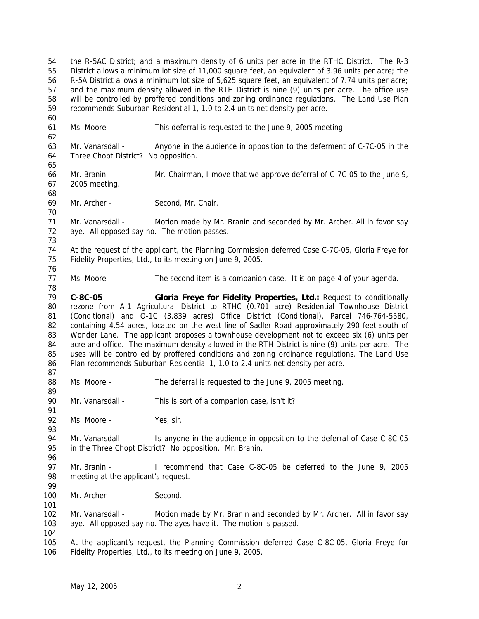the R-5AC District; and a maximum density of 6 units per acre in the RTHC District. The R-3 District allows a minimum lot size of 11,000 square feet, an equivalent of 3.96 units per acre; the R-5A District allows a minimum lot size of 5,625 square feet, an equivalent of 7.74 units per acre; and the maximum density allowed in the RTH District is nine (9) units per acre. The office use will be controlled by proffered conditions and zoning ordinance regulations. The Land Use Plan recommends Suburban Residential 1, 1.0 to 2.4 units net density per acre. Ms. Moore - This deferral is requested to the June 9, 2005 meeting. Mr. Vanarsdall - Anyone in the audience in opposition to the deferment of C-7C-05 in the Three Chopt District? No opposition. Mr. Branin- Mr. Chairman, I move that we approve deferral of C-7C-05 to the June 9, 2005 meeting. Mr. Archer - Second, Mr. Chair. Mr. Vanarsdall - Motion made by Mr. Branin and seconded by Mr. Archer. All in favor say aye. All opposed say no. The motion passes. At the request of the applicant, the Planning Commission deferred Case C-7C-05, Gloria Freye for Fidelity Properties, Ltd., to its meeting on June 9, 2005. 77 Ms. Moore - The second item is a companion case. It is on page 4 of your agenda. **C-8C-05 Gloria Freye for Fidelity Properties, Ltd.:** Request to conditionally rezone from A-1 Agricultural District to RTHC (0.701 acre) Residential Townhouse District (Conditional) and O-1C (3.839 acres) Office District (Conditional), Parcel 746-764-5580, containing 4.54 acres, located on the west line of Sadler Road approximately 290 feet south of 83 Wonder Lane. The applicant proposes a townhouse development not to exceed six (6) units per acre and office. The maximum density allowed in the RTH District is nine (9) units per acre. The uses will be controlled by proffered conditions and zoning ordinance regulations. The Land Use Plan recommends Suburban Residential 1, 1.0 to 2.4 units net density per acre. 88 Ms. Moore - The deferral is requested to the June 9, 2005 meeting. 90 Mr. Vanarsdall - This is sort of a companion case, isn't it? 92 Ms. Moore - Yes, sir. 94 Mr. Vanarsdall - Is anyone in the audience in opposition to the deferral of Case C-8C-05 in the Three Chopt District? No opposition. Mr. Branin. Mr. Branin - I recommend that Case C-8C-05 be deferred to the June 9, 2005 meeting at the applicant's request. 100 Mr. Archer - Second. 102 Mr. Vanarsdall - Motion made by Mr. Branin and seconded by Mr. Archer. All in favor say aye. All opposed say no. The ayes have it. The motion is passed. At the applicant's request, the Planning Commission deferred Case C-8C-05, Gloria Freye for Fidelity Properties, Ltd., to its meeting on June 9, 2005.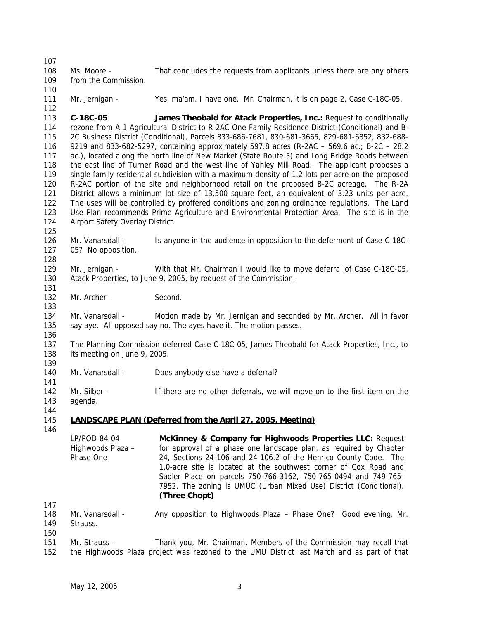Ms. Moore - That concludes the requests from applicants unless there are any others from the Commission.

Mr. Jernigan - Yes, ma'am. I have one. Mr. Chairman, it is on page 2, Case C-18C-05.

 **C-18C-05 James Theobald for Atack Properties, Inc.:** Request to conditionally rezone from A-1 Agricultural District to R-2AC One Family Residence District (Conditional) and B- 2C Business District (Conditional), Parcels 833-686-7681, 830-681-3665, 829-681-6852, 832-688- 9219 and 833-682-5297, containing approximately 597.8 acres (R-2AC – 569.6 ac.; B-2C – 28.2 ac.), located along the north line of New Market (State Route 5) and Long Bridge Roads between the east line of Turner Road and the west line of Yahley Mill Road. The applicant proposes a single family residential subdivision with a maximum density of 1.2 lots per acre on the proposed R-2AC portion of the site and neighborhood retail on the proposed B-2C acreage. The R-2A District allows a minimum lot size of 13,500 square feet, an equivalent of 3.23 units per acre. The uses will be controlled by proffered conditions and zoning ordinance regulations. The Land Use Plan recommends Prime Agriculture and Environmental Protection Area. The site is in the 124 Airport Safety Overlay District. 

 Mr. Vanarsdall - Is anyone in the audience in opposition to the deferment of Case C-18C-05? No opposition.

 Mr. Jernigan - With that Mr. Chairman I would like to move deferral of Case C-18C-05, Atack Properties, to June 9, 2005, by request of the Commission. 

132 Mr. Archer - Second.

 Mr. Vanarsdall - Motion made by Mr. Jernigan and seconded by Mr. Archer. All in favor say aye. All opposed say no. The ayes have it. The motion passes.

 The Planning Commission deferred Case C-18C-05, James Theobald for Atack Properties, Inc., to its meeting on June 9, 2005.

140 Mr. Vanarsdall - Does anybody else have a deferral? 

142 Mr. Silber - If there are no other deferrals, we will move on to the first item on the agenda.

### 

#### **LANDSCAPE PLAN (Deferred from the April 27, 2005, Meeting)**

LP/POD-84-04 Highwoods Plaza – Phase One **McKinney & Company for Highwoods Properties LLC:** Request for approval of a phase one landscape plan, as required by Chapter 24, Sections 24-106 and 24-106.2 of the Henrico County Code. The 1.0-acre site is located at the southwest corner of Cox Road and Sadler Place on parcels 750-766-3162, 750-765-0494 and 749-765- 7952. The zoning is UMUC (Urban Mixed Use) District (Conditional). **(Three Chopt)**

- 
- Mr. Vanarsdall Any opposition to Highwoods Plaza Phase One? Good evening, Mr. Strauss.
- 
- Mr. Strauss Thank you, Mr. Chairman. Members of the Commission may recall that the Highwoods Plaza project was rezoned to the UMU District last March and as part of that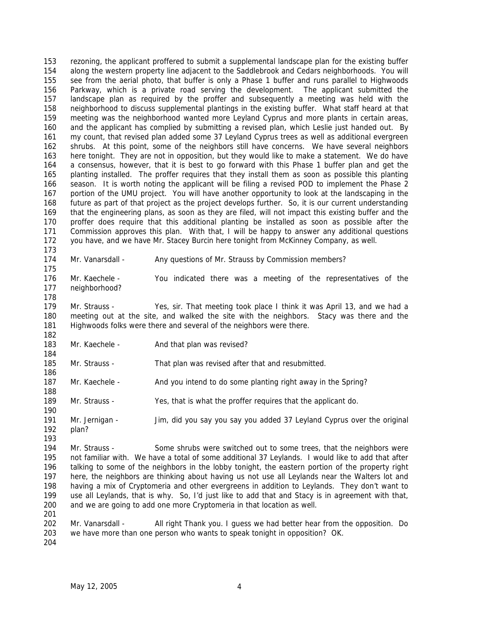rezoning, the applicant proffered to submit a supplemental landscape plan for the existing buffer along the western property line adjacent to the Saddlebrook and Cedars neighborhoods. You will see from the aerial photo, that buffer is only a Phase 1 buffer and runs parallel to Highwoods Parkway, which is a private road serving the development. The applicant submitted the landscape plan as required by the proffer and subsequently a meeting was held with the neighborhood to discuss supplemental plantings in the existing buffer. What staff heard at that meeting was the neighborhood wanted more Leyland Cyprus and more plants in certain areas, and the applicant has complied by submitting a revised plan, which Leslie just handed out. By my count, that revised plan added some 37 Leyland Cyprus trees as well as additional evergreen shrubs. At this point, some of the neighbors still have concerns. We have several neighbors here tonight. They are not in opposition, but they would like to make a statement. We do have a consensus, however, that it is best to go forward with this Phase 1 buffer plan and get the planting installed. The proffer requires that they install them as soon as possible this planting season. It is worth noting the applicant will be filing a revised POD to implement the Phase 2 portion of the UMU project. You will have another opportunity to look at the landscaping in the future as part of that project as the project develops further. So, it is our current understanding that the engineering plans, as soon as they are filed, will not impact this existing buffer and the proffer does require that this additional planting be installed as soon as possible after the Commission approves this plan. With that, I will be happy to answer any additional questions you have, and we have Mr. Stacey Burcin here tonight from McKinney Company, as well.

Mr. Vanarsdall - Any questions of Mr. Strauss by Commission members?

 Mr. Kaechele - You indicated there was a meeting of the representatives of the neighborhood?

 Mr. Strauss - Yes, sir. That meeting took place I think it was April 13, and we had a meeting out at the site, and walked the site with the neighbors. Stacy was there and the Highwoods folks were there and several of the neighbors were there.

183 Mr. Kaechele - And that plan was revised?

Mr. Strauss - That plan was revised after that and resubmitted.

187 Mr. Kaechele - And you intend to do some planting right away in the Spring?

Mr. Strauss - Yes, that is what the proffer requires that the applicant do.

 Mr. Jernigan - Jim, did you say you say you added 37 Leyland Cyprus over the original plan?

 Mr. Strauss - Some shrubs were switched out to some trees, that the neighbors were not familiar with. We have a total of some additional 37 Leylands. I would like to add that after talking to some of the neighbors in the lobby tonight, the eastern portion of the property right here, the neighbors are thinking about having us not use all Leylands near the Walters lot and having a mix of Cryptomeria and other evergreens in addition to Leylands. They don't want to use all Leylands, that is why. So, I'd just like to add that and Stacy is in agreement with that, and we are going to add one more Cryptomeria in that location as well. 

 Mr. Vanarsdall - All right Thank you. I guess we had better hear from the opposition. Do we have more than one person who wants to speak tonight in opposition? OK.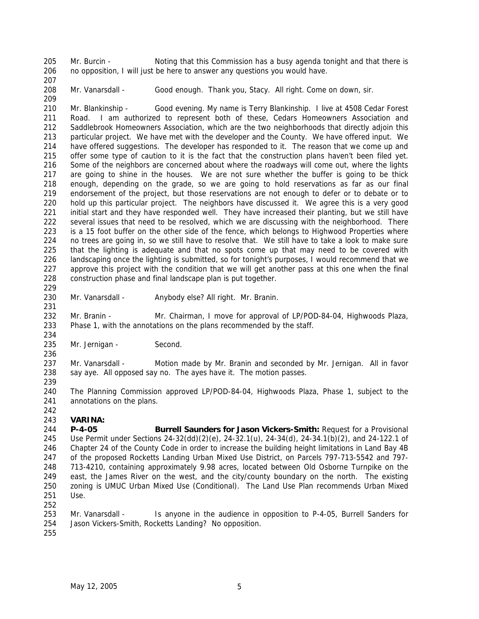Mr. Burcin - Noting that this Commission has a busy agenda tonight and that there is no opposition, I will just be here to answer any questions you would have.

208 Mr. Vanarsdall - Good enough. Thank you, Stacy. All right. Come on down, sir.

 Mr. Blankinship - Good evening. My name is Terry Blankinship. I live at 4508 Cedar Forest Road. I am authorized to represent both of these, Cedars Homeowners Association and Saddlebrook Homeowners Association, which are the two neighborhoods that directly adjoin this particular project. We have met with the developer and the County. We have offered input. We have offered suggestions. The developer has responded to it. The reason that we come up and offer some type of caution to it is the fact that the construction plans haven't been filed yet. Some of the neighbors are concerned about where the roadways will come out, where the lights are going to shine in the houses. We are not sure whether the buffer is going to be thick enough, depending on the grade, so we are going to hold reservations as far as our final endorsement of the project, but those reservations are not enough to defer or to debate or to hold up this particular project. The neighbors have discussed it. We agree this is a very good initial start and they have responded well. They have increased their planting, but we still have several issues that need to be resolved, which we are discussing with the neighborhood. There is a 15 foot buffer on the other side of the fence, which belongs to Highwood Properties where no trees are going in, so we still have to resolve that. We still have to take a look to make sure that the lighting is adequate and that no spots come up that may need to be covered with landscaping once the lighting is submitted, so for tonight's purposes, I would recommend that we approve this project with the condition that we will get another pass at this one when the final construction phase and final landscape plan is put together. 

230 Mr. Vanarsdall - Anybody else? All right. Mr. Branin.

 Mr. Branin - Mr. Chairman, I move for approval of LP/POD-84-04, Highwoods Plaza, Phase 1, with the annotations on the plans recommended by the staff.

235 Mr. Jernigan - Second.

 Mr. Vanarsdall - Motion made by Mr. Branin and seconded by Mr. Jernigan. All in favor 238 say aye. All opposed say no. The ayes have it. The motion passes.

 The Planning Commission approved LP/POD-84-04, Highwoods Plaza, Phase 1, subject to the annotations on the plans.

## **VARINA:**

 **P-4-05 Burrell Saunders for Jason Vickers-Smith:** Request for a Provisional Use Permit under Sections 24-32(dd)(2)(e), 24-32.1(u), 24-34(d), 24-34.1(b)(2), and 24-122.1 of Chapter 24 of the County Code in order to increase the building height limitations in Land Bay 4B of the proposed Rocketts Landing Urban Mixed Use District, on Parcels 797-713-5542 and 797- 713-4210, containing approximately 9.98 acres, located between Old Osborne Turnpike on the east, the James River on the west, and the city/county boundary on the north. The existing zoning is UMUC Urban Mixed Use (Conditional). The Land Use Plan recommends Urban Mixed Use.

 Mr. Vanarsdall - Is anyone in the audience in opposition to P-4-05, Burrell Sanders for Jason Vickers-Smith, Rocketts Landing? No opposition.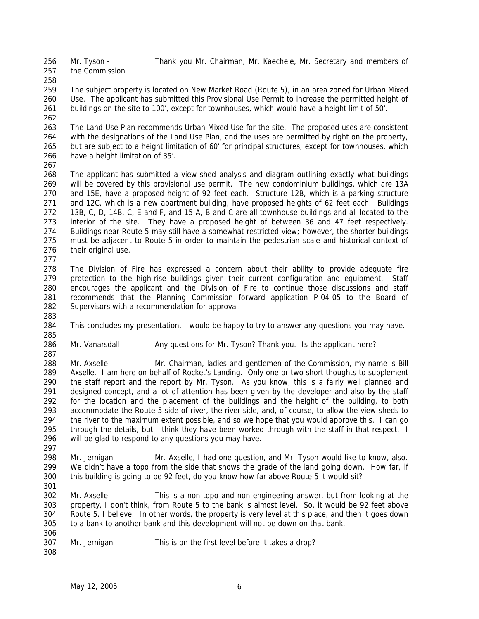- the Commission
- Mr. Tyson Thank you Mr. Chairman, Mr. Kaechele, Mr. Secretary and members of
- 

 The subject property is located on New Market Road (Route 5), in an area zoned for Urban Mixed Use. The applicant has submitted this Provisional Use Permit to increase the permitted height of buildings on the site to 100', except for townhouses, which would have a height limit of 50'.

 The Land Use Plan recommends Urban Mixed Use for the site. The proposed uses are consistent 264 with the designations of the Land Use Plan, and the uses are permitted by right on the property, but are subject to a height limitation of 60' for principal structures, except for townhouses, which have a height limitation of 35'.

 The applicant has submitted a view-shed analysis and diagram outlining exactly what buildings will be covered by this provisional use permit. The new condominium buildings, which are 13A and 15E, have a proposed height of 92 feet each. Structure 12B, which is a parking structure and 12C, which is a new apartment building, have proposed heights of 62 feet each. Buildings 13B, C, D, 14B, C, E and F, and 15 A, B and C are all townhouse buildings and all located to the interior of the site. They have a proposed height of between 36 and 47 feet respectively. Buildings near Route 5 may still have a somewhat restricted view; however, the shorter buildings must be adjacent to Route 5 in order to maintain the pedestrian scale and historical context of their original use.

 The Division of Fire has expressed a concern about their ability to provide adequate fire protection to the high-rise buildings given their current configuration and equipment. Staff encourages the applicant and the Division of Fire to continue those discussions and staff recommends that the Planning Commission forward application P-04-05 to the Board of Supervisors with a recommendation for approval.

This concludes my presentation, I would be happy to try to answer any questions you may have.

 

286 Mr. Vanarsdall - Any questions for Mr. Tyson? Thank you. Is the applicant here?

 Mr. Axselle - Mr. Chairman, ladies and gentlemen of the Commission, my name is Bill Axselle. I am here on behalf of Rocket's Landing. Only one or two short thoughts to supplement the staff report and the report by Mr. Tyson. As you know, this is a fairly well planned and designed concept, and a lot of attention has been given by the developer and also by the staff for the location and the placement of the buildings and the height of the building, to both accommodate the Route 5 side of river, the river side, and, of course, to allow the view sheds to the river to the maximum extent possible, and so we hope that you would approve this. I can go through the details, but I think they have been worked through with the staff in that respect. I will be glad to respond to any questions you may have. 

 Mr. Jernigan - Mr. Axselle, I had one question, and Mr. Tyson would like to know, also. We didn't have a topo from the side that shows the grade of the land going down. How far, if this building is going to be 92 feet, do you know how far above Route 5 it would sit? 

 Mr. Axselle - This is a non-topo and non-engineering answer, but from looking at the property, I don't think, from Route 5 to the bank is almost level. So, it would be 92 feet above Route 5, I believe. In other words, the property is very level at this place, and then it goes down to a bank to another bank and this development will not be down on that bank.

- Mr. Jernigan - This is on the first level before it takes a drop?
-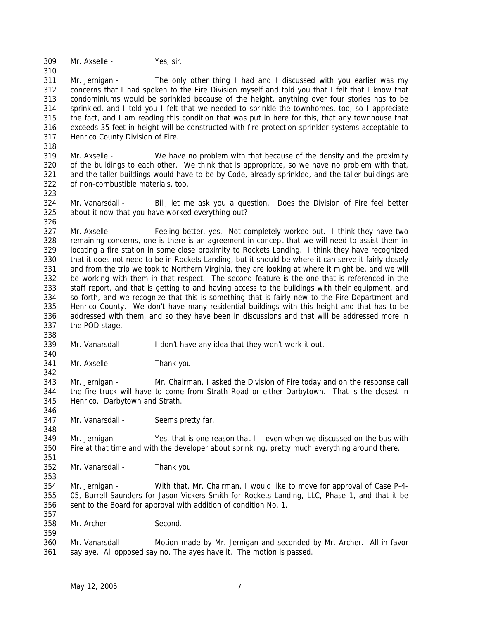Mr. Axselle - Yes, sir.

 Mr. Jernigan - The only other thing I had and I discussed with you earlier was my concerns that I had spoken to the Fire Division myself and told you that I felt that I know that condominiums would be sprinkled because of the height, anything over four stories has to be sprinkled, and I told you I felt that we needed to sprinkle the townhomes, too, so I appreciate the fact, and I am reading this condition that was put in here for this, that any townhouse that exceeds 35 feet in height will be constructed with fire protection sprinkler systems acceptable to Henrico County Division of Fire.

 Mr. Axselle - We have no problem with that because of the density and the proximity of the buildings to each other. We think that is appropriate, so we have no problem with that, and the taller buildings would have to be by Code, already sprinkled, and the taller buildings are of non-combustible materials, too. 

 Mr. Vanarsdall - Bill, let me ask you a question. Does the Division of Fire feel better about it now that you have worked everything out?

 Mr. Axselle - Feeling better, yes. Not completely worked out. I think they have two remaining concerns, one is there is an agreement in concept that we will need to assist them in locating a fire station in some close proximity to Rockets Landing. I think they have recognized that it does not need to be in Rockets Landing, but it should be where it can serve it fairly closely and from the trip we took to Northern Virginia, they are looking at where it might be, and we will be working with them in that respect. The second feature is the one that is referenced in the staff report, and that is getting to and having access to the buildings with their equipment, and so forth, and we recognize that this is something that is fairly new to the Fire Department and Henrico County. We don't have many residential buildings with this height and that has to be addressed with them, and so they have been in discussions and that will be addressed more in the POD stage.

Mr. Vanarsdall - I don't have any idea that they won't work it out.

341 Mr. Axselle - Thank you.

 Mr. Jernigan - Mr. Chairman, I asked the Division of Fire today and on the response call the fire truck will have to come from Strath Road or either Darbytown. That is the closest in Henrico. Darbytown and Strath.

347 Mr. Vanarsdall - Seems pretty far.

 Mr. Jernigan - Yes, that is one reason that I – even when we discussed on the bus with Fire at that time and with the developer about sprinkling, pretty much everything around there. 

Mr. Vanarsdall - Thank you.

 Mr. Jernigan - With that, Mr. Chairman, I would like to move for approval of Case P-4- 05, Burrell Saunders for Jason Vickers-Smith for Rockets Landing, LLC, Phase 1, and that it be sent to the Board for approval with addition of condition No. 1.

Mr. Archer - Second.

 Mr. Vanarsdall - Motion made by Mr. Jernigan and seconded by Mr. Archer. All in favor say aye. All opposed say no. The ayes have it. The motion is passed.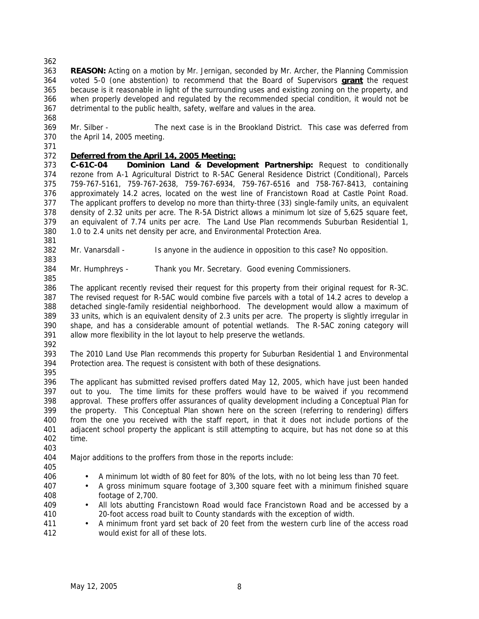**REASON:** Acting on a motion by Mr. Jernigan, seconded by Mr. Archer, the Planning Commission voted 5-0 (one abstention) to recommend that the Board of Supervisors **grant** the request because is it reasonable in light of the surrounding uses and existing zoning on the property, and when properly developed and regulated by the recommended special condition, it would not be detrimental to the public health, safety, welfare and values in the area.

 Mr. Silber - The next case is in the Brookland District. This case was deferred from the April 14, 2005 meeting.

# *Deferred from the April 14, 2005 Meeting:*

 **C-61C-04 Dominion Land & Development Partnership:** Request to conditionally rezone from A-1 Agricultural District to R-5AC General Residence District (Conditional), Parcels 759-767-5161, 759-767-2638, 759-767-6934, 759-767-6516 and 758-767-8413, containing approximately 14.2 acres, located on the west line of Francistown Road at Castle Point Road. The applicant proffers to develop no more than thirty-three (33) single-family units, an equivalent 378 density of 2.32 units per acre. The R-5A District allows a minimum lot size of 5.625 square feet, an equivalent of 7.74 units per acre. The Land Use Plan recommends Suburban Residential 1, 1.0 to 2.4 units net density per acre, and Environmental Protection Area. 

Mr. Vanarsdall - Is anyone in the audience in opposition to this case? No opposition.

Mr. Humphreys - Thank you Mr. Secretary. Good evening Commissioners.

 The applicant recently revised their request for this property from their original request for R-3C. The revised request for R-5AC would combine five parcels with a total of 14.2 acres to develop a detached single-family residential neighborhood. The development would allow a maximum of 33 units, which is an equivalent density of 2.3 units per acre. The property is slightly irregular in shape, and has a considerable amount of potential wetlands. The R-5AC zoning category will allow more flexibility in the lot layout to help preserve the wetlands.

 The 2010 Land Use Plan recommends this property for Suburban Residential 1 and Environmental Protection area. The request is consistent with both of these designations.

 The applicant has submitted revised proffers dated May 12, 2005, which have just been handed out to you. The time limits for these proffers would have to be waived if you recommend approval. These proffers offer assurances of quality development including a Conceptual Plan for the property. This Conceptual Plan shown here on the screen (referring to rendering) differs from the one you received with the staff report, in that it does not include portions of the adjacent school property the applicant is still attempting to acquire, but has not done so at this time.

- Major additions to the proffers from those in the reports include:
- 
- A minimum lot width of 80 feet for 80% of the lots, with no lot being less than 70 feet.
- A gross minimum square footage of 3,300 square feet with a minimum finished square footage of 2,700.
- All lots abutting Francistown Road would face Francistown Road and be accessed by a 20-foot access road built to County standards with the exception of width.
- A minimum front yard set back of 20 feet from the western curb line of the access road would exist for all of these lots.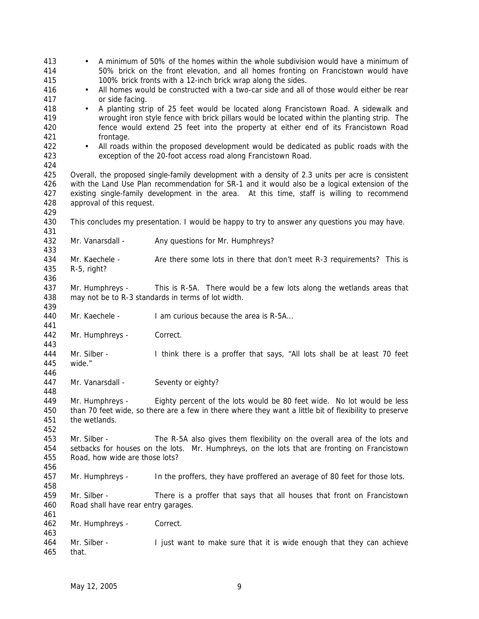| 413<br>414<br>415<br>416 |                                     | A minimum of 50% of the homes within the whole subdivision would have a minimum of<br>50% brick on the front elevation, and all homes fronting on Francistown would have<br>100% brick fronts with a 12-inch brick wrap along the sides.<br>All homes would be constructed with a two-car side and all of those would either be rear |
|--------------------------|-------------------------------------|--------------------------------------------------------------------------------------------------------------------------------------------------------------------------------------------------------------------------------------------------------------------------------------------------------------------------------------|
| 417                      | or side facing.                     |                                                                                                                                                                                                                                                                                                                                      |
| 418<br>419               | $\bullet$                           | A planting strip of 25 feet would be located along Francistown Road. A sidewalk and<br>wrought iron style fence with brick pillars would be located within the planting strip. The                                                                                                                                                   |
| 420                      |                                     | fence would extend 25 feet into the property at either end of its Francistown Road                                                                                                                                                                                                                                                   |
| 421                      | frontage.                           |                                                                                                                                                                                                                                                                                                                                      |
| 422                      |                                     | All roads within the proposed development would be dedicated as public roads with the                                                                                                                                                                                                                                                |
| 423<br>424               |                                     | exception of the 20-foot access road along Francistown Road.                                                                                                                                                                                                                                                                         |
| 425                      |                                     | Overall, the proposed single-family development with a density of 2.3 units per acre is consistent                                                                                                                                                                                                                                   |
| 426                      |                                     | with the Land Use Plan recommendation for SR-1 and it would also be a logical extension of the                                                                                                                                                                                                                                       |
| 427                      |                                     | existing single-family development in the area. At this time, staff is willing to recommend                                                                                                                                                                                                                                          |
| 428                      | approval of this request.           |                                                                                                                                                                                                                                                                                                                                      |
|                          |                                     |                                                                                                                                                                                                                                                                                                                                      |
| 429                      |                                     |                                                                                                                                                                                                                                                                                                                                      |
| 430                      |                                     | This concludes my presentation. I would be happy to try to answer any questions you may have.                                                                                                                                                                                                                                        |
| 431                      |                                     |                                                                                                                                                                                                                                                                                                                                      |
| 432                      | Mr. Vanarsdall -                    | Any questions for Mr. Humphreys?                                                                                                                                                                                                                                                                                                     |
| 433                      |                                     |                                                                                                                                                                                                                                                                                                                                      |
| 434                      | Mr. Kaechele -                      | Are there some lots in there that don't meet R-3 requirements? This is                                                                                                                                                                                                                                                               |
| 435                      | R-5, right?                         |                                                                                                                                                                                                                                                                                                                                      |
| 436                      |                                     |                                                                                                                                                                                                                                                                                                                                      |
| 437                      | Mr. Humphreys -                     | This is R-5A. There would be a few lots along the wetlands areas that                                                                                                                                                                                                                                                                |
| 438                      |                                     | may not be to R-3 standards in terms of lot width.                                                                                                                                                                                                                                                                                   |
| 439                      |                                     |                                                                                                                                                                                                                                                                                                                                      |
| 440                      | Mr. Kaechele -                      | I am curious because the area is R-5A                                                                                                                                                                                                                                                                                                |
| 441                      |                                     |                                                                                                                                                                                                                                                                                                                                      |
| 442                      | Mr. Humphreys -                     | Correct.                                                                                                                                                                                                                                                                                                                             |
| 443                      |                                     |                                                                                                                                                                                                                                                                                                                                      |
| 444                      | Mr. Silber -                        | I think there is a proffer that says, "All lots shall be at least 70 feet                                                                                                                                                                                                                                                            |
| 445                      | wide."                              |                                                                                                                                                                                                                                                                                                                                      |
| 446                      |                                     |                                                                                                                                                                                                                                                                                                                                      |
| 447                      | Mr. Vanarsdall -                    | Seventy or eighty?                                                                                                                                                                                                                                                                                                                   |
| 448                      |                                     |                                                                                                                                                                                                                                                                                                                                      |
| 449                      |                                     |                                                                                                                                                                                                                                                                                                                                      |
|                          | Mr. Humphreys -                     | Eighty percent of the lots would be 80 feet wide. No lot would be less                                                                                                                                                                                                                                                               |
| 450                      |                                     | than 70 feet wide, so there are a few in there where they want a little bit of flexibility to preserve                                                                                                                                                                                                                               |
| 451                      | the wetlands.                       |                                                                                                                                                                                                                                                                                                                                      |
| 452                      |                                     |                                                                                                                                                                                                                                                                                                                                      |
| 453                      | Mr. Silber -                        | The R-5A also gives them flexibility on the overall area of the lots and                                                                                                                                                                                                                                                             |
| 454                      |                                     | setbacks for houses on the lots. Mr. Humphreys, on the lots that are fronting on Francistown                                                                                                                                                                                                                                         |
| 455                      | Road, how wide are those lots?      |                                                                                                                                                                                                                                                                                                                                      |
| 456                      |                                     |                                                                                                                                                                                                                                                                                                                                      |
| 457                      | Mr. Humphreys -                     | In the proffers, they have proffered an average of 80 feet for those lots.                                                                                                                                                                                                                                                           |
| 458                      |                                     |                                                                                                                                                                                                                                                                                                                                      |
| 459                      | Mr. Silber -                        | There is a proffer that says that all houses that front on Francistown                                                                                                                                                                                                                                                               |
| 460                      | Road shall have rear entry garages. |                                                                                                                                                                                                                                                                                                                                      |
| 461                      |                                     |                                                                                                                                                                                                                                                                                                                                      |
| 462                      | Mr. Humphreys -                     | Correct.                                                                                                                                                                                                                                                                                                                             |
| 463                      |                                     |                                                                                                                                                                                                                                                                                                                                      |
| 464                      | Mr. Silber -                        | I just want to make sure that it is wide enough that they can achieve                                                                                                                                                                                                                                                                |
| 465                      | that.                               |                                                                                                                                                                                                                                                                                                                                      |
|                          |                                     |                                                                                                                                                                                                                                                                                                                                      |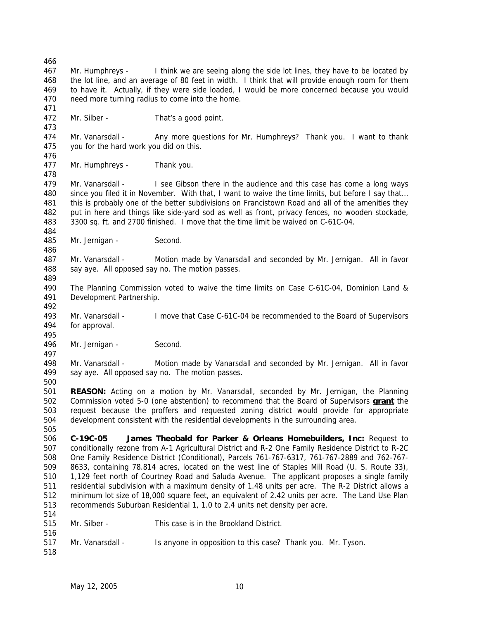Mr. Humphreys - I think we are seeing along the side lot lines, they have to be located by the lot line, and an average of 80 feet in width. I think that will provide enough room for them to have it. Actually, if they were side loaded, I would be more concerned because you would need more turning radius to come into the home. 472 Mr. Silber - That's a good point. Mr. Vanarsdall - Any more questions for Mr. Humphreys? Thank you. I want to thank you for the hard work you did on this. Mr. Humphreys - Thank you. Mr. Vanarsdall - I see Gibson there in the audience and this case has come a long ways since you filed it in November. With that, I want to waive the time limits, but before I say that… this is probably one of the better subdivisions on Francistown Road and all of the amenities they put in here and things like side-yard sod as well as front, privacy fences, no wooden stockade, 3300 sq. ft. and 2700 finished. I move that the time limit be waived on C-61C-04. 485 Mr. Jernigan - Second. Mr. Vanarsdall - Motion made by Vanarsdall and seconded by Mr. Jernigan. All in favor 488 say aye. All opposed say no. The motion passes. The Planning Commission voted to waive the time limits on Case C-61C-04, Dominion Land & Development Partnership. Mr. Vanarsdall - I move that Case C-61C-04 be recommended to the Board of Supervisors for approval. Mr. Jernigan - Second. Mr. Vanarsdall - Motion made by Vanarsdall and seconded by Mr. Jernigan. All in favor say aye. All opposed say no. The motion passes. **REASON:** Acting on a motion by Mr. Vanarsdall, seconded by Mr. Jernigan, the Planning Commission voted 5-0 (one abstention) to recommend that the Board of Supervisors **grant** the request because the proffers and requested zoning district would provide for appropriate development consistent with the residential developments in the surrounding area. **C-19C-05 James Theobald for Parker & Orleans Homebuilders, Inc:** Request to conditionally rezone from A-1 Agricultural District and R-2 One Family Residence District to R-2C One Family Residence District (Conditional), Parcels 761-767-6317, 761-767-2889 and 762-767- 8633, containing 78.814 acres, located on the west line of Staples Mill Road (U. S. Route 33), 1,129 feet north of Courtney Road and Saluda Avenue. The applicant proposes a single family residential subdivision with a maximum density of 1.48 units per acre. The R-2 District allows a minimum lot size of 18,000 square feet, an equivalent of 2.42 units per acre. The Land Use Plan recommends Suburban Residential 1, 1.0 to 2.4 units net density per acre. Mr. Silber - This case is in the Brookland District. Mr. Vanarsdall - Is anyone in opposition to this case? Thank you. Mr. Tyson.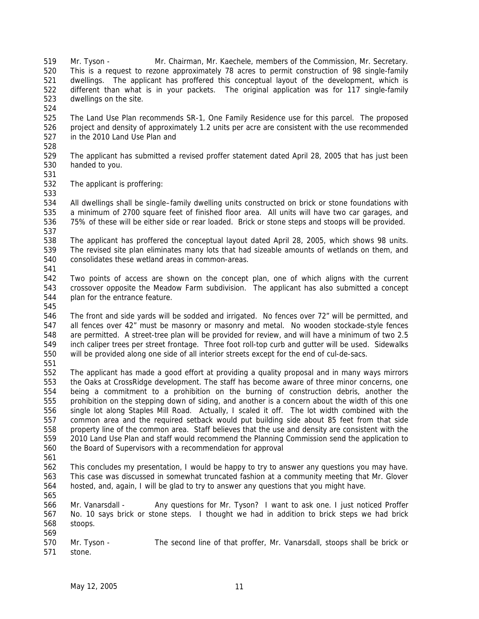Mr. Tyson - Mr. Chairman, Mr. Kaechele, members of the Commission, Mr. Secretary. This is a request to rezone approximately 78 acres to permit construction of 98 single-family dwellings. The applicant has proffered this conceptual layout of the development, which is different than what is in your packets. The original application was for 117 single-family dwellings on the site.

 The Land Use Plan recommends SR-1, One Family Residence use for this parcel. The proposed project and density of approximately 1.2 units per acre are consistent with the use recommended in the 2010 Land Use Plan and

 The applicant has submitted a revised proffer statement dated April 28, 2005 that has just been handed to you.

 The applicant is proffering: 

 All dwellings shall be single–family dwelling units constructed on brick or stone foundations with a minimum of 2700 square feet of finished floor area. All units will have two car garages, and 75% of these will be either side or rear loaded. Brick or stone steps and stoops will be provided.

 The applicant has proffered the conceptual layout dated April 28, 2005, which shows 98 units. The revised site plan eliminates many lots that had sizeable amounts of wetlands on them, and consolidates these wetland areas in common-areas.

 Two points of access are shown on the concept plan, one of which aligns with the current crossover opposite the Meadow Farm subdivision. The applicant has also submitted a concept plan for the entrance feature.

 The front and side yards will be sodded and irrigated. No fences over 72" will be permitted, and all fences over 42" must be masonry or masonry and metal. No wooden stockade-style fences are permitted. A street-tree plan will be provided for review, and will have a minimum of two 2.5 inch caliper trees per street frontage. Three foot roll-top curb and gutter will be used. Sidewalks will be provided along one side of all interior streets except for the end of cul-de-sacs.

 The applicant has made a good effort at providing a quality proposal and in many ways mirrors the Oaks at CrossRidge development. The staff has become aware of three minor concerns, one being a commitment to a prohibition on the burning of construction debris, another the prohibition on the stepping down of siding, and another is a concern about the width of this one single lot along Staples Mill Road. Actually, I scaled it off. The lot width combined with the common area and the required setback would put building side about 85 feet from that side property line of the common area. Staff believes that the use and density are consistent with the 2010 Land Use Plan and staff would recommend the Planning Commission send the application to the Board of Supervisors with a recommendation for approval

 This concludes my presentation, I would be happy to try to answer any questions you may have. This case was discussed in somewhat truncated fashion at a community meeting that Mr. Glover hosted, and, again, I will be glad to try to answer any questions that you might have.

 Mr. Vanarsdall - Any questions for Mr. Tyson? I want to ask one. I just noticed Proffer No. 10 says brick or stone steps. I thought we had in addition to brick steps we had brick stoops. 

 Mr. Tyson - The second line of that proffer, Mr. Vanarsdall, stoops shall be brick or stone.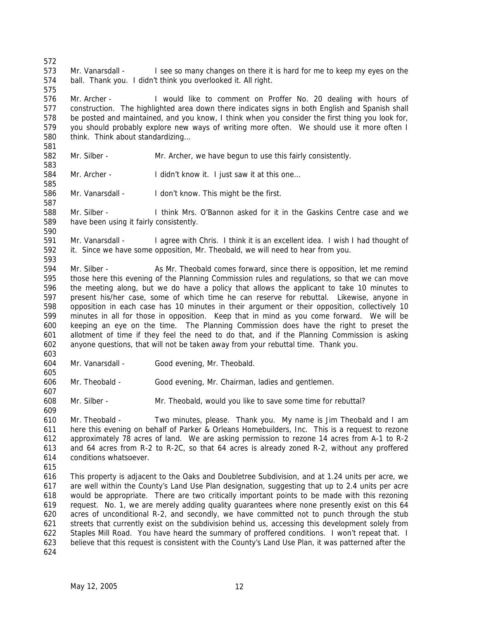Mr. Vanarsdall - I see so many changes on there it is hard for me to keep my eyes on the ball. Thank you. I didn't think you overlooked it. All right.

 Mr. Archer - I would like to comment on Proffer No. 20 dealing with hours of construction. The highlighted area down there indicates signs in both English and Spanish shall be posted and maintained, and you know, I think when you consider the first thing you look for, you should probably explore new ways of writing more often. We should use it more often I think. Think about standardizing…

- Mr. Silber Mr. Archer, we have begun to use this fairly consistently.
- Mr. Archer I didn't know it. I just saw it at this one…

Mr. Vanarsdall - I don't know. This might be the first.

 Mr. Silber - I think Mrs. O'Bannon asked for it in the Gaskins Centre case and we have been using it fairly consistently.

- 591 Mr. Vanarsdall I agree with Chris. I think it is an excellent idea. I wish I had thought of it. Since we have some opposition, Mr. Theobald, we will need to hear from you.
- Mr. Silber As Mr. Theobald comes forward, since there is opposition, let me remind those here this evening of the Planning Commission rules and regulations, so that we can move the meeting along, but we do have a policy that allows the applicant to take 10 minutes to present his/her case, some of which time he can reserve for rebuttal. Likewise, anyone in opposition in each case has 10 minutes in their argument or their opposition, collectively 10 minutes in all for those in opposition. Keep that in mind as you come forward. We will be keeping an eye on the time. The Planning Commission does have the right to preset the allotment of time if they feel the need to do that, and if the Planning Commission is asking anyone questions, that will not be taken away from your rebuttal time. Thank you.
- Mr. Vanarsdall Good evening, Mr. Theobald.
- Mr. Theobald Good evening, Mr. Chairman, ladies and gentlemen.
- Mr. Silber Mr. Theobald, would you like to save some time for rebuttal?

 Mr. Theobald - Two minutes, please. Thank you. My name is Jim Theobald and I am here this evening on behalf of Parker & Orleans Homebuilders, Inc. This is a request to rezone approximately 78 acres of land. We are asking permission to rezone 14 acres from A-1 to R-2 and 64 acres from R-2 to R-2C, so that 64 acres is already zoned R-2, without any proffered conditions whatsoever.

- 
- This property is adjacent to the Oaks and Doubletree Subdivision, and at 1.24 units per acre, we are well within the County's Land Use Plan designation, suggesting that up to 2.4 units per acre would be appropriate. There are two critically important points to be made with this rezoning request. No. 1, we are merely adding quality guarantees where none presently exist on this 64 acres of unconditional R-2, and secondly, we have committed not to punch through the stub streets that currently exist on the subdivision behind us, accessing this development solely from Staples Mill Road. You have heard the summary of proffered conditions. I won't repeat that. I believe that this request is consistent with the County's Land Use Plan, it was patterned after the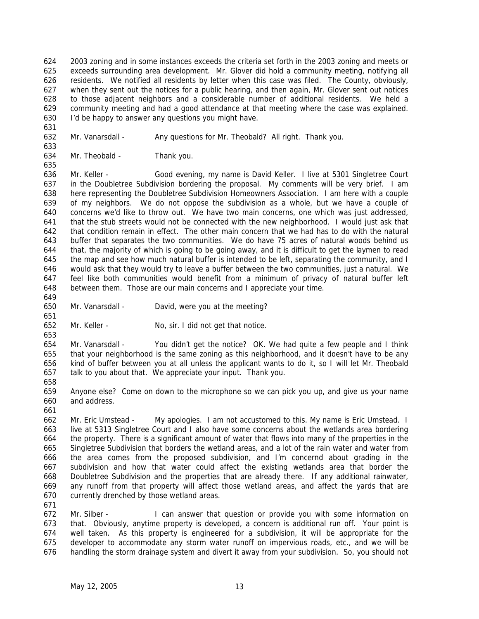2003 zoning and in some instances exceeds the criteria set forth in the 2003 zoning and meets or exceeds surrounding area development. Mr. Glover did hold a community meeting, notifying all residents. We notified all residents by letter when this case was filed. The County, obviously, when they sent out the notices for a public hearing, and then again, Mr. Glover sent out notices to those adjacent neighbors and a considerable number of additional residents. We held a community meeting and had a good attendance at that meeting where the case was explained. I'd be happy to answer any questions you might have.

Mr. Vanarsdall - Any questions for Mr. Theobald? All right. Thank you.

Mr. Theobald - Thank you.

 Mr. Keller - Good evening, my name is David Keller. I live at 5301 Singletree Court in the Doubletree Subdivision bordering the proposal. My comments will be very brief. I am here representing the Doubletree Subdivision Homeowners Association. I am here with a couple of my neighbors. We do not oppose the subdivision as a whole, but we have a couple of concerns we'd like to throw out. We have two main concerns, one which was just addressed, that the stub streets would not be connected with the new neighborhood. I would just ask that that condition remain in effect. The other main concern that we had has to do with the natural buffer that separates the two communities. We do have 75 acres of natural woods behind us that, the majority of which is going to be going away, and it is difficult to get the laymen to read 645 the map and see how much natural buffer is intended to be left, separating the community, and I would ask that they would try to leave a buffer between the two communities, just a natural. We feel like both communities would benefit from a minimum of privacy of natural buffer left between them. Those are our main concerns and I appreciate your time.

- Mr. Vanarsdall David, were you at the meeting?
- Mr. Keller No, sir. I did not get that notice.

 Mr. Vanarsdall - You didn't get the notice? OK. We had quite a few people and I think that your neighborhood is the same zoning as this neighborhood, and it doesn't have to be any kind of buffer between you at all unless the applicant wants to do it, so I will let Mr. Theobald talk to you about that. We appreciate your input. Thank you.

 Anyone else? Come on down to the microphone so we can pick you up, and give us your name and address.

 Mr. Eric Umstead - My apologies. I am not accustomed to this. My name is Eric Umstead. I live at 5313 Singletree Court and I also have some concerns about the wetlands area bordering the property. There is a significant amount of water that flows into many of the properties in the Singletree Subdivision that borders the wetland areas, and a lot of the rain water and water from the area comes from the proposed subdivision, and I'm concernd about grading in the subdivision and how that water could affect the existing wetlands area that border the Doubletree Subdivision and the properties that are already there. If any additional rainwater, any runoff from that property will affect those wetland areas, and affect the yards that are currently drenched by those wetland areas.

672 Mr. Silber - I can answer that question or provide you with some information on that. Obviously, anytime property is developed, a concern is additional run off. Your point is well taken. As this property is engineered for a subdivision, it will be appropriate for the developer to accommodate any storm water runoff on impervious roads, etc., and we will be handling the storm drainage system and divert it away from your subdivision. So, you should not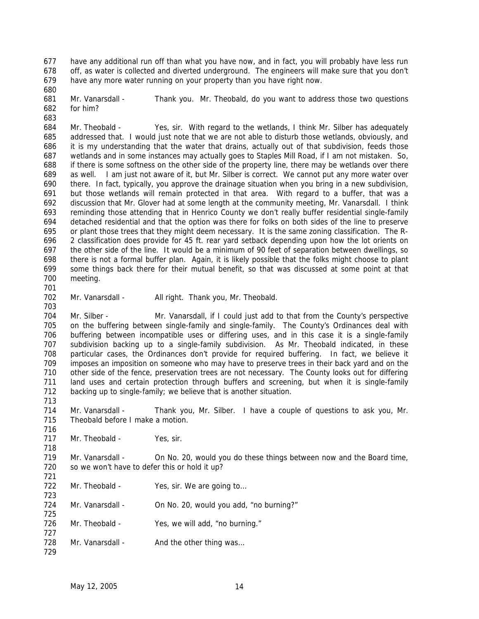have any additional run off than what you have now, and in fact, you will probably have less run off, as water is collected and diverted underground. The engineers will make sure that you don't have any more water running on your property than you have right now. 

 Mr. Vanarsdall - Thank you. Mr. Theobald, do you want to address those two questions for him?

 Mr. Theobald - Yes, sir. With regard to the wetlands, I think Mr. Silber has adequately addressed that. I would just note that we are not able to disturb those wetlands, obviously, and it is my understanding that the water that drains, actually out of that subdivision, feeds those wetlands and in some instances may actually goes to Staples Mill Road, if I am not mistaken. So, if there is some softness on the other side of the property line, there may be wetlands over there as well. I am just not aware of it, but Mr. Silber is correct. We cannot put any more water over there. In fact, typically, you approve the drainage situation when you bring in a new subdivision, but those wetlands will remain protected in that area. With regard to a buffer, that was a discussion that Mr. Glover had at some length at the community meeting, Mr. Vanarsdall. I think reminding those attending that in Henrico County we don't really buffer residential single-family detached residential and that the option was there for folks on both sides of the line to preserve or plant those trees that they might deem necessary. It is the same zoning classification. The R- 2 classification does provide for 45 ft. rear yard setback depending upon how the lot orients on the other side of the line. It would be a minimum of 90 feet of separation between dwellings, so there is not a formal buffer plan. Again, it is likely possible that the folks might choose to plant some things back there for their mutual benefit, so that was discussed at some point at that meeting.

- 702 Mr. Vanarsdall All right. Thank you, Mr. Theobald.
- 

 Mr. Silber - Mr. Vanarsdall, if I could just add to that from the County's perspective on the buffering between single-family and single-family. The County's Ordinances deal with buffering between incompatible uses or differing uses, and in this case it is a single-family subdivision backing up to a single-family subdivision. As Mr. Theobald indicated, in these particular cases, the Ordinances don't provide for required buffering. In fact, we believe it imposes an imposition on someone who may have to preserve trees in their back yard and on the other side of the fence, preservation trees are not necessary. The County looks out for differing land uses and certain protection through buffers and screening, but when it is single-family 712 backing up to single-family; we believe that is another situation.

 Mr. Vanarsdall - Thank you, Mr. Silber. I have a couple of questions to ask you, Mr. Theobald before I make a motion.

717 Mr. Theobald - Yes, sir.

 Mr. Vanarsdall - On No. 20, would you do these things between now and the Board time, 720 so we won't have to defer this or hold it up?

722 Mr. Theobald - Yes, sir. We are going to...

724 Mr. Vanarsdall - On No. 20, would you add, "no burning?"

- Mr. Theobald Yes, we will add, "no burning."
- 728 Mr. Vanarsdall And the other thing was...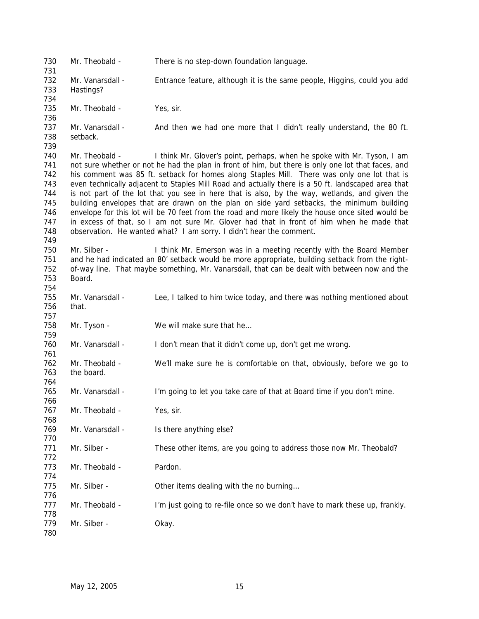Mr. Theobald - There is no step-down foundation language. Mr. Vanarsdall - Entrance feature, although it is the same people, Higgins, could you add Hastings? 735 Mr. Theobald - Yes, sir. 737 Mr. Vanarsdall - And then we had one more that I didn't really understand, the 80 ft. setback. Mr. Theobald - I think Mr. Glover's point, perhaps, when he spoke with Mr. Tyson, I am not sure whether or not he had the plan in front of him, but there is only one lot that faces, and his comment was 85 ft. setback for homes along Staples Mill. There was only one lot that is even technically adjacent to Staples Mill Road and actually there is a 50 ft. landscaped area that is not part of the lot that you see in here that is also, by the way, wetlands, and given the building envelopes that are drawn on the plan on side yard setbacks, the minimum building envelope for this lot will be 70 feet from the road and more likely the house once sited would be in excess of that, so I am not sure Mr. Glover had that in front of him when he made that observation. He wanted what? I am sorry. I didn't hear the comment. Mr. Silber - I think Mr. Emerson was in a meeting recently with the Board Member and he had indicated an 80' setback would be more appropriate, building setback from the right- of-way line. That maybe something, Mr. Vanarsdall, that can be dealt with between now and the Board. 755 Mr. Vanarsdall - Lee, I talked to him twice today, and there was nothing mentioned about that. 758 Mr. Tyson - We will make sure that he... Mr. Vanarsdall - I don't mean that it didn't come up, don't get me wrong. Mr. Theobald - We'll make sure he is comfortable on that, obviously, before we go to the board. 765 Mr. Vanarsdall - I'm going to let you take care of that at Board time if you don't mine. 767 Mr. Theobald - Yes, sir. 769 Mr. Vanarsdall - Is there anything else? 771 Mr. Silber - These other items, are you going to address those now Mr. Theobald? Mr. Theobald - Pardon. 775 Mr. Silber - Other items dealing with the no burning... 777 Mr. Theobald - I'm just going to re-file once so we don't have to mark these up, frankly. 779 Mr. Silber - Okay.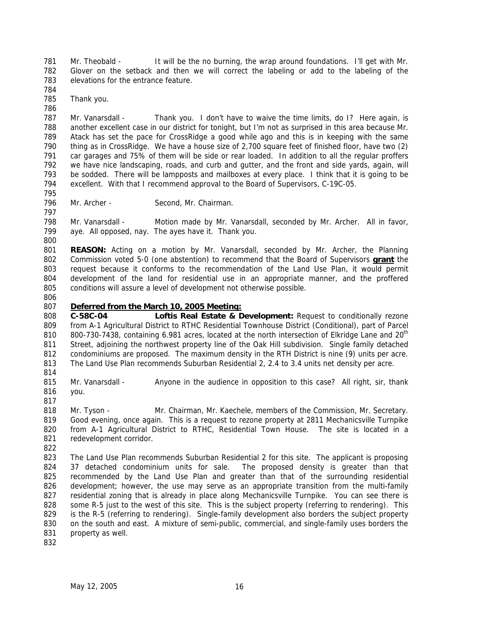Mr. Theobald - It will be the no burning, the wrap around foundations. I'll get with Mr. Glover on the setback and then we will correct the labeling or add to the labeling of the elevations for the entrance feature. 

Thank you.

 Mr. Vanarsdall - Thank you. I don't have to waive the time limits, do I? Here again, is another excellent case in our district for tonight, but I'm not as surprised in this area because Mr. Atack has set the pace for CrossRidge a good while ago and this is in keeping with the same thing as in CrossRidge. We have a house size of 2,700 square feet of finished floor, have two (2) car garages and 75% of them will be side or rear loaded. In addition to all the regular proffers we have nice landscaping, roads, and curb and gutter, and the front and side yards, again, will be sodded. There will be lampposts and mailboxes at every place. I think that it is going to be excellent. With that I recommend approval to the Board of Supervisors, C-19C-05.

 

796 Mr. Archer - Second, Mr. Chairman.

 Mr. Vanarsdall - Motion made by Mr. Vanarsdall, seconded by Mr. Archer. All in favor, aye. All opposed, nay. The ayes have it. Thank you. 

 **REASON:** Acting on a motion by Mr. Vanarsdall, seconded by Mr. Archer, the Planning Commission voted 5-0 (one abstention) to recommend that the Board of Supervisors **grant** the request because it conforms to the recommendation of the Land Use Plan, it would permit development of the land for residential use in an appropriate manner, and the proffered conditions will assure a level of development not otherwise possible.

# *Deferred from the March 10, 2005 Meeting:*

 **C-58C-04 Loftis Real Estate & Development:** Request to conditionally rezone from A-1 Agricultural District to RTHC Residential Townhouse District (Conditional), part of Parcel 810 800-730-7438, containing 6.981 acres, located at the north intersection of Elkridge Lane and 20<sup>th</sup> Street, adjoining the northwest property line of the Oak Hill subdivision. Single family detached condominiums are proposed. The maximum density in the RTH District is nine (9) units per acre. The Land Use Plan recommends Suburban Residential 2, 2.4 to 3.4 units net density per acre.

- 815 Mr. Vanarsdall Anyone in the audience in opposition to this case? All right, sir, thank you.
- 

 Mr. Tyson - Mr. Chairman, Mr. Kaechele, members of the Commission, Mr. Secretary. Good evening, once again. This is a request to rezone property at 2811 Mechanicsville Turnpike from A-1 Agricultural District to RTHC, Residential Town House*.* The site is located in a redevelopment corridor.

 The Land Use Plan recommends Suburban Residential 2 for this site. The applicant is proposing 37 detached condominium units for sale. The proposed density is greater than that 825 recommended by the Land Use Plan and greater than that of the surrounding residential 826 development; however, the use may serve as an appropriate transition from the multi-family 827 residential zoning that is already in place along Mechanicsville Turnpike. You can see there is some R-5 just to the west of this site. This is the subject property (referring to rendering). This is the R-5 (referring to rendering). Single-family development also borders the subject property on the south and east. A mixture of semi-public, commercial, and single-family uses borders the property as well.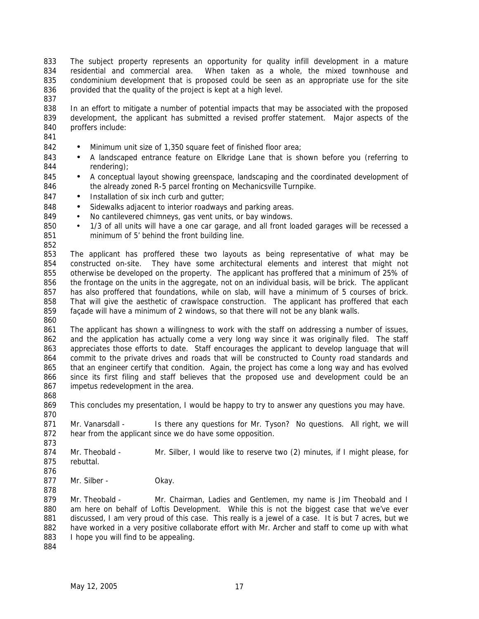The subject property represents an opportunity for quality infill development in a mature residential and commercial area. When taken as a whole, the mixed townhouse and condominium development that is proposed could be seen as an appropriate use for the site 836 provided that the quality of the project is kept at a high level.

 In an effort to mitigate a number of potential impacts that may be associated with the proposed development, the applicant has submitted a revised proffer statement. Major aspects of the proffers include:

- 
- 842 Minimum unit size of 1,350 square feet of finished floor area;
- 843 A landscaped entrance feature on Elkridge Lane that is shown before you (referring to rendering);
- 845 A conceptual layout showing greenspace, landscaping and the coordinated development of 846 the already zoned R-5 parcel fronting on Mechanicsville Turnpike.
- 847 Installation of six inch curb and gutter;
- 848 Sidewalks adjacent to interior roadways and parking areas.
- 849 No cantilevered chimneys, gas vent units, or bay windows.
- 1/3 of all units will have a one car garage, and all front loaded garages will be recessed a minimum of 5' behind the front building line.
- 

 The applicant has proffered these two layouts as being representative of what may be constructed on-site. They have some architectural elements and interest that might not otherwise be developed on the property. The applicant has proffered that a minimum of 25% of the frontage on the units in the aggregate, not on an individual basis, will be brick. The applicant 857 has also proffered that foundations, while on slab, will have a minimum of 5 courses of brick. 858 That will give the aesthetic of crawlspace construction. The applicant has proffered that each façade will have a minimum of 2 windows, so that there will not be any blank walls.

 The applicant has shown a willingness to work with the staff on addressing a number of issues, 862 and the application has actually come a very long way since it was originally filed. The staff appreciates those efforts to date. Staff encourages the applicant to develop language that will commit to the private drives and roads that will be constructed to County road standards and that an engineer certify that condition. Again, the project has come a long way and has evolved since its first filing and staff believes that the proposed use and development could be an 867 impetus redevelopment in the area.

- 
- This concludes my presentation, I would be happy to try to answer any questions you may have.

871 Mr. Vanarsdall - Is there any questions for Mr. Tyson? No questions. All right, we will hear from the applicant since we do have some opposition.

- Mr. Theobald Mr. Silber, I would like to reserve two (2) minutes, if I might please, for rebuttal.
- 

877 Mr. Silber - Okay. 

879 Mr. Theobald - Mr. Chairman, Ladies and Gentlemen, my name is Jim Theobald and I am here on behalf of Loftis Development. While this is not the biggest case that we've ever 881 discussed, I am very proud of this case. This really is a jewel of a case. It is but 7 acres, but we have worked in a very positive collaborate effort with Mr. Archer and staff to come up with what I hope you will find to be appealing.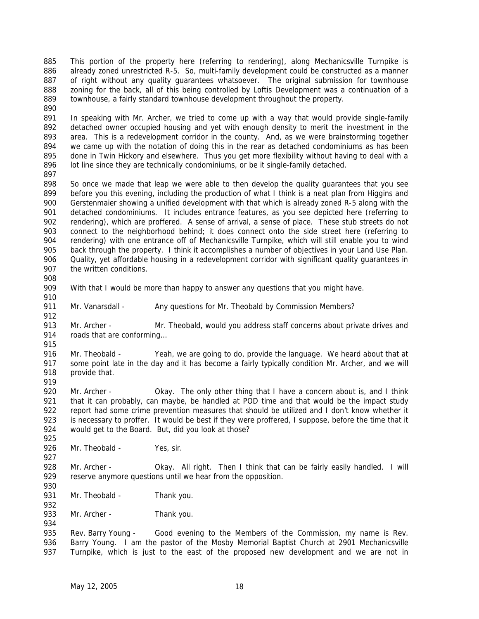This portion of the property here (referring to rendering), along Mechanicsville Turnpike is already zoned unrestricted R-5. So, multi-family development could be constructed as a manner of right without any quality guarantees whatsoever. The original submission for townhouse zoning for the back, all of this being controlled by Loftis Development was a continuation of a townhouse, a fairly standard townhouse development throughout the property.

 In speaking with Mr. Archer, we tried to come up with a way that would provide single-family detached owner occupied housing and yet with enough density to merit the investment in the area. This is a redevelopment corridor in the county. And, as we were brainstorming together we came up with the notation of doing this in the rear as detached condominiums as has been done in Twin Hickory and elsewhere. Thus you get more flexibility without having to deal with a 896 lot line since they are technically condominiums, or be it single-family detached.

898 So once we made that leap we were able to then develop the quality guarantees that you see 899 before you this evening, including the production of what I think is a neat plan from Higgins and Gerstenmaier showing a unified development with that which is already zoned R-5 along with the detached condominiums. It includes entrance features, as you see depicted here (referring to rendering), which are proffered. A sense of arrival, a sense of place. These stub streets do not connect to the neighborhood behind; it does connect onto the side street here (referring to rendering) with one entrance off of Mechanicsville Turnpike, which will still enable you to wind back through the property. I think it accomplishes a number of objectives in your Land Use Plan. Quality, yet affordable housing in a redevelopment corridor with significant quality guarantees in the written conditions.

With that I would be more than happy to answer any questions that you might have.

911 Mr. Vanarsdall - Any questions for Mr. Theobald by Commission Members?

913 Mr. Archer - Mr. Theobald, would you address staff concerns about private drives and 914 roads that are conforming...

 Mr. Theobald - Yeah, we are going to do, provide the language. We heard about that at some point late in the day and it has become a fairly typically condition Mr. Archer, and we will provide that. 

920 Mr. Archer - Okay. The only other thing that I have a concern about is, and I think that it can probably, can maybe, be handled at POD time and that would be the impact study report had some crime prevention measures that should be utilized and I don't know whether it is necessary to proffer. It would be best if they were proffered, I suppose, before the time that it would get to the Board. But, did you look at those?

926 Mr. Theobald - Yes, sir. 

928 Mr. Archer - Okay. All right. Then I think that can be fairly easily handled. I will reserve anymore questions until we hear from the opposition. 

- 931 Mr. Theobald Thank you.
- 933 Mr. Archer Thank you.

935 Rev. Barry Young - Good evening to the Members of the Commission, my name is Rev. Barry Young. I am the pastor of the Mosby Memorial Baptist Church at 2901 Mechanicsville Turnpike, which is just to the east of the proposed new development and we are not in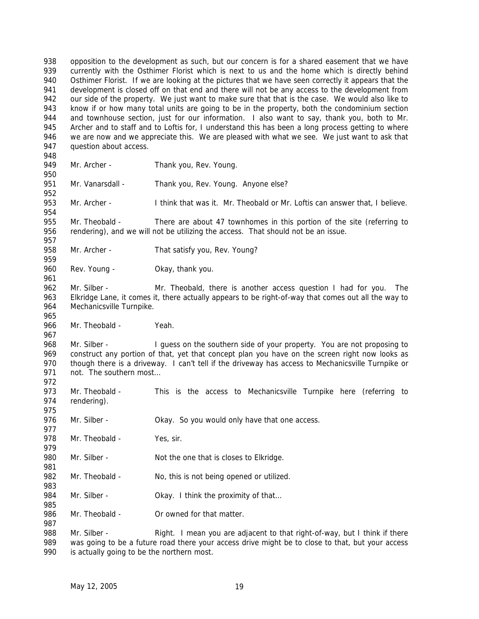opposition to the development as such, but our concern is for a shared easement that we have currently with the Osthimer Florist which is next to us and the home which is directly behind Osthimer Florist. If we are looking at the pictures that we have seen correctly it appears that the development is closed off on that end and there will not be any access to the development from our side of the property. We just want to make sure that that is the case. We would also like to know if or how many total units are going to be in the property, both the condominium section and townhouse section, just for our information. I also want to say, thank you, both to Mr. 945 Archer and to staff and to Loftis for, I understand this has been a long process getting to where we are now and we appreciate this. We are pleased with what we see. We just want to ask that question about access. 949 Mr. Archer - Thank you, Rev. Young. 951 Mr. Vanarsdall - Thank you, Rev. Young. Anyone else? Mr. Archer - I think that was it. Mr. Theobald or Mr. Loftis can answer that, I believe. Mr. Theobald - There are about 47 townhomes in this portion of the site (referring to rendering), and we will not be utilizing the access. That should not be an issue. Mr. Archer - That satisfy you, Rev. Young? 960 Rev. Young - Okay, thank you. 962 Mr. Silber - Mr. Theobald, there is another access question I had for you. The Elkridge Lane, it comes it, there actually appears to be right-of-way that comes out all the way to Mechanicsville Turnpike. 966 Mr. Theobald - Yeah. Mr. Silber - I guess on the southern side of your property. You are not proposing to construct any portion of that, yet that concept plan you have on the screen right now looks as 970 though there is a driveway. I can't tell if the driveway has access to Mechanicsville Turnpike or 971 not. The southern most... 973 Mr. Theobald - This is the access to Mechanicsville Turnpike here (referring to rendering). 976 Mr. Silber - Okay. So you would only have that one access. 978 Mr. Theobald - Yes, sir. 980 Mr. Silber - Not the one that is closes to Elkridge. 982 Mr. Theobald - No, this is not being opened or utilized. 984 Mr. Silber - Okay. I think the proximity of that... Mr. Theobald - Or owned for that matter. 988 Mr. Silber - Right. I mean you are adjacent to that right-of-way, but I think if there

989 was going to be a future road there your access drive might be to close to that, but your access is actually going to be the northern most.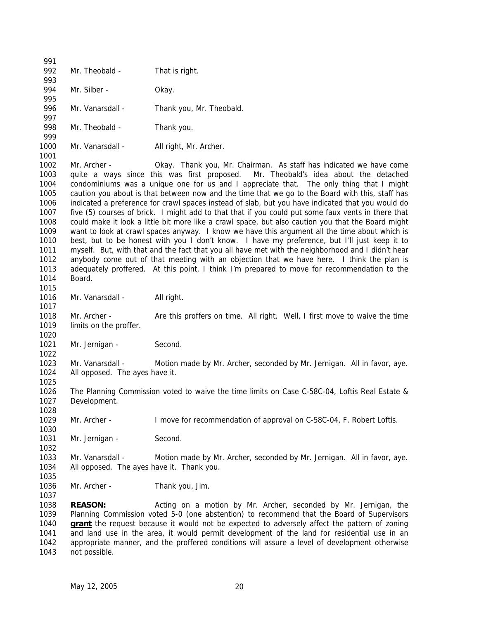992 Mr. Theobald - That is right. 994 Mr. Silber - Okay. 996 Mr. Vanarsdall - Thank you, Mr. Theobald. 998 Mr. Theobald - Thank you. 1000 Mr. Vanarsdall - All right, Mr. Archer. Mr. Archer - Okay. Thank you, Mr. Chairman. As staff has indicated we have come quite a ways since this was first proposed. Mr. Theobald's idea about the detached condominiums was a unique one for us and I appreciate that. The only thing that I might caution you about is that between now and the time that we go to the Board with this, staff has indicated a preference for crawl spaces instead of slab, but you have indicated that you would do five (5) courses of brick. I might add to that that if you could put some faux vents in there that could make it look a little bit more like a crawl space, but also caution you that the Board might want to look at crawl spaces anyway. I know we have this argument all the time about which is best, but to be honest with you I don't know. I have my preference, but I'll just keep it to myself. But, with that and the fact that you all have met with the neighborhood and I didn't hear anybody come out of that meeting with an objection that we have here. I think the plan is adequately proffered. At this point, I think I'm prepared to move for recommendation to the Board. 1016 Mr. Vanarsdall - All right. 1018 Mr. Archer - Are this proffers on time. All right. Well, I first move to waive the time limits on the proffer. 1021 Mr. Jernigan - Second. Mr. Vanarsdall - Motion made by Mr. Archer, seconded by Mr. Jernigan. All in favor, aye. All opposed. The ayes have it. The Planning Commission voted to waive the time limits on Case C-58C-04, Loftis Real Estate & Development. Mr. Archer - I move for recommendation of approval on C-58C-04, F. Robert Loftis. 1031 Mr. Jernigan - Second. Mr. Vanarsdall - Motion made by Mr. Archer, seconded by Mr. Jernigan. All in favor, aye. All opposed. The ayes have it. Thank you. 1036 Mr. Archer - Thank you, Jim. **REASON:** Acting on a motion by Mr. Archer, seconded by Mr. Jernigan, the Planning Commission voted 5-0 (one abstention) to recommend that the Board of Supervisors **grant** the request because it would not be expected to adversely affect the pattern of zoning and land use in the area, it would permit development of the land for residential use in an appropriate manner, and the proffered conditions will assure a level of development otherwise not possible.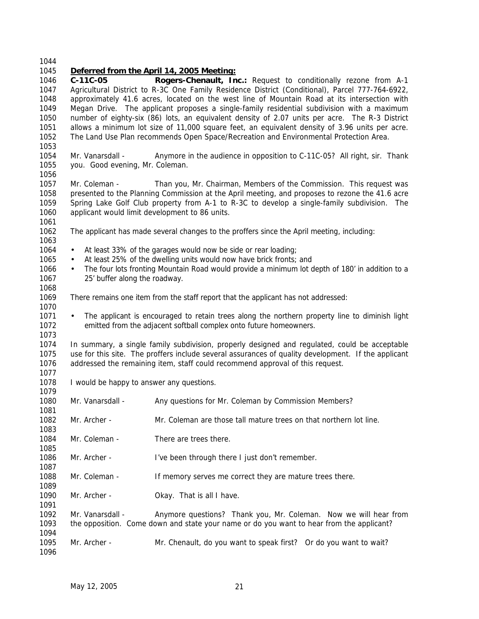# *Deferred from the April 14, 2005 Meeting:*

 **C-11C-05 Rogers-Chenault, Inc.:** Request to conditionally rezone from A-1 Agricultural District to R-3C One Family Residence District (Conditional), Parcel 777-764-6922, approximately 41.6 acres, located on the west line of Mountain Road at its intersection with Megan Drive. The applicant proposes a single-family residential subdivision with a maximum number of eighty-six (86) lots, an equivalent density of 2.07 units per acre. The R-3 District allows a minimum lot size of 11,000 square feet, an equivalent density of 3.96 units per acre. The Land Use Plan recommends Open Space/Recreation and Environmental Protection Area. Mr. Vanarsdall - Anymore in the audience in opposition to C-11C-05? All right, sir. Thank you. Good evening, Mr. Coleman. Mr. Coleman - Than you, Mr. Chairman, Members of the Commission. This request was presented to the Planning Commission at the April meeting, and proposes to rezone the 41.6 acre Spring Lake Golf Club property from A-1 to R-3C to develop a single-family subdivision. The applicant would limit development to 86 units. The applicant has made several changes to the proffers since the April meeting, including: 1064 • At least 33% of the garages would now be side or rear loading; • At least 25% of the dwelling units would now have brick fronts; and 1066 • The four lots fronting Mountain Road would provide a minimum lot depth of 180' in addition to a 25' buffer along the roadway. There remains one item from the staff report that the applicant has not addressed: • The applicant is encouraged to retain trees along the northern property line to diminish light emitted from the adjacent softball complex onto future homeowners. In summary, a single family subdivision, properly designed and regulated, could be acceptable use for this site. The proffers include several assurances of quality development. If the applicant addressed the remaining item, staff could recommend approval of this request. I would be happy to answer any questions. Mr. Vanarsdall - Any questions for Mr. Coleman by Commission Members? Mr. Archer - Mr. Coleman are those tall mature trees on that northern lot line. 1084 Mr. Coleman - There are trees there. Mr. Archer - I've been through there I just don't remember. Mr. Coleman - If memory serves me correct they are mature trees there. 1090 Mr. Archer - Okay. That is all I have. 1092 Mr. Vanarsdall - Anymore questions? Thank you, Mr. Coleman. Now we will hear from the opposition. Come down and state your name or do you want to hear from the applicant? Mr. Archer - Mr. Chenault, do you want to speak first? Or do you want to wait?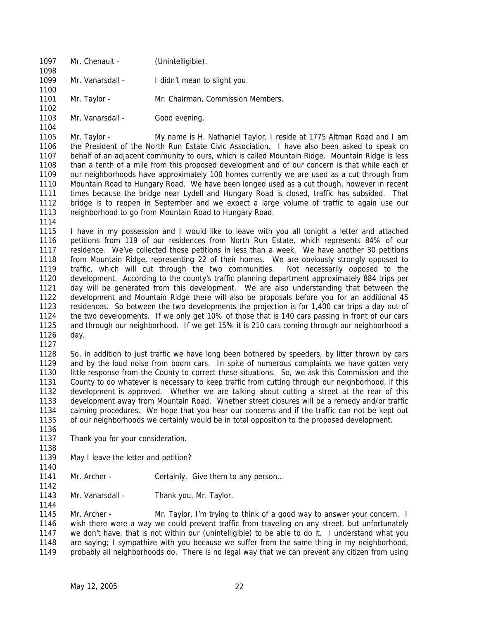1097 Mr. Chenault - (Unintelligible). 1099 Mr. Vanarsdall - I didn't mean to slight you. 

 Mr. Taylor - Mr. Chairman, Commission Members. 

1103 Mr. Vanarsdall - Good evening. 

 Mr. Taylor - My name is H. Nathaniel Taylor, I reside at 1775 Altman Road and I am the President of the North Run Estate Civic Association. I have also been asked to speak on behalf of an adjacent community to ours, which is called Mountain Ridge. Mountain Ridge is less than a tenth of a mile from this proposed development and of our concern is that while each of our neighborhoods have approximately 100 homes currently we are used as a cut through from Mountain Road to Hungary Road. We have been longed used as a cut though, however in recent times because the bridge near Lydell and Hungary Road is closed, traffic has subsided. That bridge is to reopen in September and we expect a large volume of traffic to again use our neighborhood to go from Mountain Road to Hungary Road.

 I have in my possession and I would like to leave with you all tonight a letter and attached petitions from 119 of our residences from North Run Estate, which represents 84% of our residence. We've collected those petitions in less than a week. We have another 30 petitions from Mountain Ridge, representing 22 of their homes. We are obviously strongly opposed to traffic, which will cut through the two communities. Not necessarily opposed to the development. According to the county's traffic planning department approximately 884 trips per day will be generated from this development. We are also understanding that between the development and Mountain Ridge there will also be proposals before you for an additional 45 residences. So between the two developments the projection is for 1,400 car trips a day out of the two developments. If we only get 10% of those that is 140 cars passing in front of our cars and through our neighborhood. If we get 15% it is 210 cars coming through our neighborhood a day. 

 So, in addition to just traffic we have long been bothered by speeders, by litter thrown by cars and by the loud noise from boom cars. In spite of numerous complaints we have gotten very little response from the County to correct these situations. So, we ask this Commission and the County to do whatever is necessary to keep traffic from cutting through our neighborhood, if this development is approved. Whether we are talking about cutting a street at the rear of this development away from Mountain Road. Whether street closures will be a remedy and/or traffic calming procedures. We hope that you hear our concerns and if the traffic can not be kept out of our neighborhoods we certainly would be in total opposition to the proposed development.

- Thank you for your consideration.
- May I leave the letter and petition?
- 

- 1141 Mr. Archer Certainly. Give them to any person...
- 1143 Mr. Vanarsdall Thank you, Mr. Taylor.

 Mr. Archer - Mr. Taylor, I'm trying to think of a good way to answer your concern. I wish there were a way we could prevent traffic from traveling on any street, but unfortunately we don't have, that is not within our (unintelligible) to be able to do it. I understand what you are saying; I sympathize with you because we suffer from the same thing in my neighborhood, probably all neighborhoods do. There is no legal way that we can prevent any citizen from using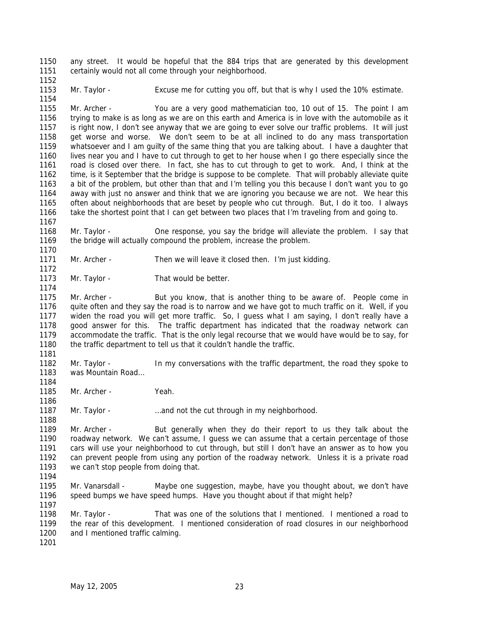any street. It would be hopeful that the 884 trips that are generated by this development certainly would not all come through your neighborhood.

Mr. Taylor - Excuse me for cutting you off, but that is why I used the 10% estimate.

 Mr. Archer - You are a very good mathematician too, 10 out of 15. The point I am trying to make is as long as we are on this earth and America is in love with the automobile as it is right now, I don't see anyway that we are going to ever solve our traffic problems. It will just get worse and worse. We don't seem to be at all inclined to do any mass transportation whatsoever and I am guilty of the same thing that you are talking about. I have a daughter that lives near you and I have to cut through to get to her house when I go there especially since the road is closed over there. In fact, she has to cut through to get to work. And, I think at the time, is it September that the bridge is suppose to be complete. That will probably alleviate quite a bit of the problem, but other than that and I'm telling you this because I don't want you to go away with just no answer and think that we are ignoring you because we are not. We hear this often about neighborhoods that are beset by people who cut through. But, I do it too. I always take the shortest point that I can get between two places that I'm traveling from and going to.

 Mr. Taylor - One response, you say the bridge will alleviate the problem. I say that 1169 the bridge will actually compound the problem, increase the problem.

Mr. Archer - Then we will leave it closed then. I'm just kidding.

1173 Mr. Taylor - That would be better.

 Mr. Archer - But you know, that is another thing to be aware of. People come in quite often and they say the road is to narrow and we have got to much traffic on it. Well, if you widen the road you will get more traffic. So, I guess what I am saying, I don't really have a good answer for this. The traffic department has indicated that the roadway network can accommodate the traffic. That is the only legal recourse that we would have would be to say, for 1180 the traffic department to tell us that it couldn't handle the traffic.

 Mr. Taylor - In my conversations with the traffic department, the road they spoke to was Mountain Road… 

1185 Mr. Archer - Yeah.

1187 Mr. Taylor - …and not the cut through in my neighborhood.

 Mr. Archer - But generally when they do their report to us they talk about the roadway network. We can't assume, I guess we can assume that a certain percentage of those cars will use your neighborhood to cut through, but still I don't have an answer as to how you can prevent people from using any portion of the roadway network. Unless it is a private road 1193 we can't stop people from doing that.

 Mr. Vanarsdall - Maybe one suggestion, maybe, have you thought about, we don't have speed bumps we have speed humps. Have you thought about if that might help?

 Mr. Taylor - That was one of the solutions that I mentioned. I mentioned a road to the rear of this development. I mentioned consideration of road closures in our neighborhood 1200 and I mentioned traffic calming.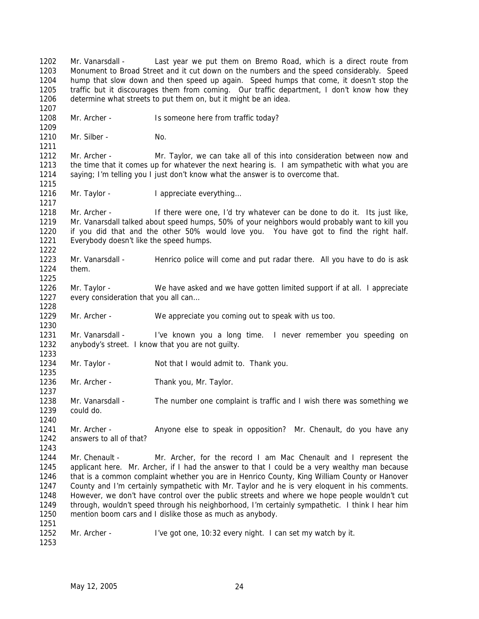Mr. Vanarsdall - Last year we put them on Bremo Road, which is a direct route from Monument to Broad Street and it cut down on the numbers and the speed considerably. Speed hump that slow down and then speed up again. Speed humps that come, it doesn't stop the traffic but it discourages them from coming. Our traffic department, I don't know how they determine what streets to put them on, but it might be an idea. 1208 Mr. Archer - Is someone here from traffic today? Mr. Silber - No. Mr. Archer - Mr. Taylor, we can take all of this into consideration between now and the time that it comes up for whatever the next hearing is. I am sympathetic with what you are saying; I'm telling you I just don't know what the answer is to overcome that. 1216 Mr. Taylor - I appreciate everything... Mr. Archer - If there were one, I'd try whatever can be done to do it. Its just like, Mr. Vanarsdall talked about speed humps, 50% of your neighbors would probably want to kill you if you did that and the other 50% would love you. You have got to find the right half. Everybody doesn't like the speed humps. Mr. Vanarsdall - Henrico police will come and put radar there. All you have to do is ask them. Mr. Taylor - We have asked and we have gotten limited support if at all. I appreciate 1227 every consideration that you all can... Mr. Archer - We appreciate you coming out to speak with us too. 1231 Mr. Vanarsdall - I've known you a long time. I never remember you speeding on anybody's street. I know that you are not guilty. Mr. Taylor - Not that I would admit to. Thank you. 1236 Mr. Archer - Thank you, Mr. Taylor. Mr. Vanarsdall - The number one complaint is traffic and I wish there was something we could do. 1241 Mr. Archer - Anyone else to speak in opposition? Mr. Chenault, do you have any answers to all of that? Mr. Chenault - Mr. Archer, for the record I am Mac Chenault and I represent the applicant here. Mr. Archer, if I had the answer to that I could be a very wealthy man because that is a common complaint whether you are in Henrico County, King William County or Hanover County and I'm certainly sympathetic with Mr. Taylor and he is very eloquent in his comments. However, we don't have control over the public streets and where we hope people wouldn't cut through, wouldn't speed through his neighborhood, I'm certainly sympathetic. I think I hear him mention boom cars and I dislike those as much as anybody. Mr. Archer - I've got one, 10:32 every night. I can set my watch by it.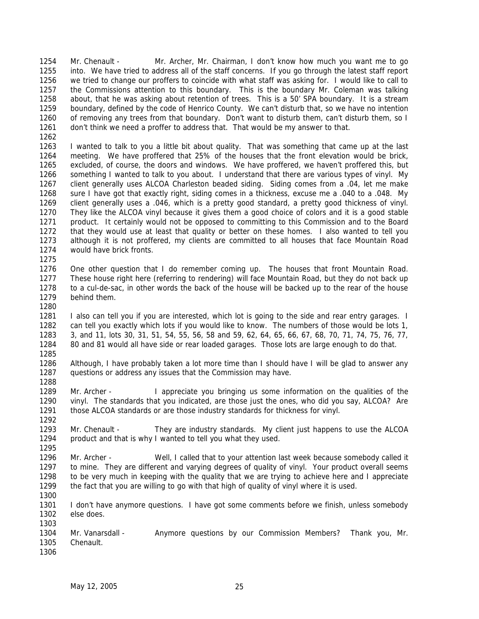Mr. Chenault - Mr. Archer, Mr. Chairman, I don't know how much you want me to go into. We have tried to address all of the staff concerns. If you go through the latest staff report we tried to change our proffers to coincide with what staff was asking for. I would like to call to 1257 the Commissions attention to this boundary. This is the boundary Mr. Coleman was talking about, that he was asking about retention of trees. This is a 50' SPA boundary. It is a stream boundary, defined by the code of Henrico County. We can't disturb that, so we have no intention of removing any trees from that boundary. Don't want to disturb them, can't disturb them, so I don't think we need a proffer to address that. That would be my answer to that.

 I wanted to talk to you a little bit about quality. That was something that came up at the last meeting. We have proffered that 25% of the houses that the front elevation would be brick, excluded, of course, the doors and windows. We have proffered, we haven't proffered this, but something I wanted to talk to you about. I understand that there are various types of vinyl. My client generally uses ALCOA Charleston beaded siding. Siding comes from a .04, let me make sure I have got that exactly right, siding comes in a thickness, excuse me a .040 to a .048. My client generally uses a .046, which is a pretty good standard, a pretty good thickness of vinyl. They like the ALCOA vinyl because it gives them a good choice of colors and it is a good stable product. It certainly would not be opposed to committing to this Commission and to the Board that they would use at least that quality or better on these homes. I also wanted to tell you although it is not proffered, my clients are committed to all houses that face Mountain Road would have brick fronts.

- 
- One other question that I do remember coming up. The houses that front Mountain Road. These house right here (referring to rendering) will face Mountain Road, but they do not back up to a cul-de-sac, in other words the back of the house will be backed up to the rear of the house behind them.
- I also can tell you if you are interested, which lot is going to the side and rear entry garages. I can tell you exactly which lots if you would like to know. The numbers of those would be lots 1, 3, and 11, lots 30, 31, 51, 54, 55, 56, 58 and 59, 62, 64, 65, 66, 67, 68, 70, 71, 74, 75, 76, 77, 80 and 81 would all have side or rear loaded garages. Those lots are large enough to do that.
- Although, I have probably taken a lot more time than I should have I will be glad to answer any 1287 guestions or address any issues that the Commission may have.
- Mr. Archer I appreciate you bringing us some information on the qualities of the vinyl. The standards that you indicated, are those just the ones, who did you say, ALCOA? Are those ALCOA standards or are those industry standards for thickness for vinyl.
- Mr. Chenault They are industry standards. My client just happens to use the ALCOA product and that is why I wanted to tell you what they used.
- Mr. Archer Well, I called that to your attention last week because somebody called it to mine. They are different and varying degrees of quality of vinyl. Your product overall seems to be very much in keeping with the quality that we are trying to achieve here and I appreciate the fact that you are willing to go with that high of quality of vinyl where it is used.
- 
- I don't have anymore questions. I have got some comments before we finish, unless somebody else does.
- 1304 Mr. Vanarsdall Anymore questions by our Commission Members? Thank you, Mr. Chenault.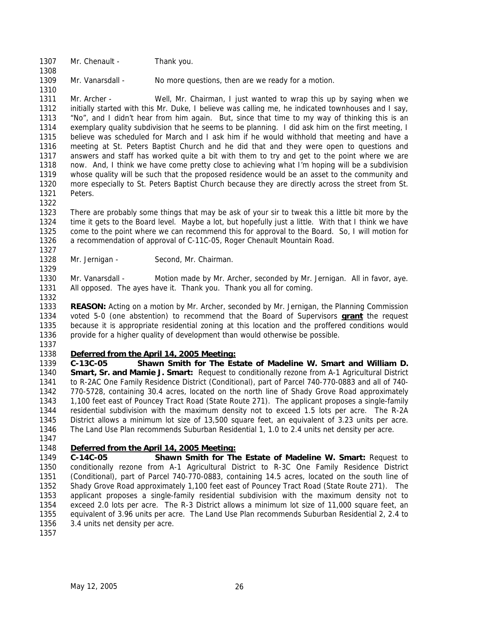1307 Mr. Chenault - Thank you.

Mr. Vanarsdall - No more questions, then are we ready for a motion.

 Mr. Archer - Well, Mr. Chairman, I just wanted to wrap this up by saying when we initially started with this Mr. Duke, I believe was calling me, he indicated townhouses and I say, "No", and I didn't hear from him again. But, since that time to my way of thinking this is an exemplary quality subdivision that he seems to be planning. I did ask him on the first meeting, I believe was scheduled for March and I ask him if he would withhold that meeting and have a meeting at St. Peters Baptist Church and he did that and they were open to questions and answers and staff has worked quite a bit with them to try and get to the point where we are now. And, I think we have come pretty close to achieving what I'm hoping will be a subdivision whose quality will be such that the proposed residence would be an asset to the community and more especially to St. Peters Baptist Church because they are directly across the street from St. Peters.

 There are probably some things that may be ask of your sir to tweak this a little bit more by the time it gets to the Board level. Maybe a lot, but hopefully just a little. With that I think we have come to the point where we can recommend this for approval to the Board. So, I will motion for a recommendation of approval of C-11C-05, Roger Chenault Mountain Road.

1328 Mr. Jernigan - Second, Mr. Chairman.

 Mr. Vanarsdall - Motion made by Mr. Archer, seconded by Mr. Jernigan. All in favor, aye. All opposed. The ayes have it. Thank you. Thank you all for coming.

 **REASON:** Acting on a motion by Mr. Archer, seconded by Mr. Jernigan, the Planning Commission voted 5-0 (one abstention) to recommend that the Board of Supervisors **grant** the request because it is appropriate residential zoning at this location and the proffered conditions would provide for a higher quality of development than would otherwise be possible.

## *Deferred from the April 14, 2005 Meeting:*

 **C-13C-05 Shawn Smith for The Estate of Madeline W. Smart and William D. Smart, Sr. and Mamie J. Smart:** Request to conditionally rezone from A-1 Agricultural District to R-2AC One Family Residence District (Conditional), part of Parcel 740-770-0883 and all of 740- 770-5728, containing 30.4 acres, located on the north line of Shady Grove Road approximately 1,100 feet east of Pouncey Tract Road (State Route 271). The applicant proposes a single-family residential subdivision with the maximum density not to exceed 1.5 lots per acre. The R-2A District allows a minimum lot size of 13,500 square feet, an equivalent of 3.23 units per acre. The Land Use Plan recommends Suburban Residential 1, 1.0 to 2.4 units net density per acre.

## *Deferred from the April 14, 2005 Meeting:*

 **C-14C-05 Shawn Smith for The Estate of Madeline W. Smart:** Request to conditionally rezone from A-1 Agricultural District to R-3C One Family Residence District (Conditional), part of Parcel 740-770-0883, containing 14.5 acres, located on the south line of Shady Grove Road approximately 1,100 feet east of Pouncey Tract Road (State Route 271). The applicant proposes a single-family residential subdivision with the maximum density not to exceed 2.0 lots per acre. The R-3 District allows a minimum lot size of 11,000 square feet, an equivalent of 3.96 units per acre. The Land Use Plan recommends Suburban Residential 2, 2.4 to 3.4 units net density per acre.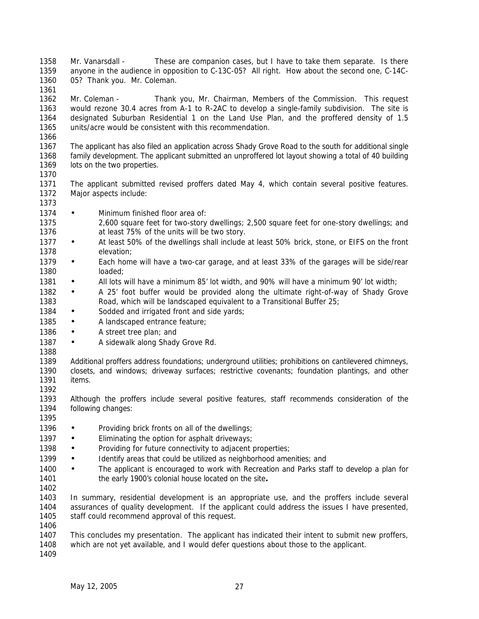Mr. Vanarsdall - These are companion cases, but I have to take them separate. Is there anyone in the audience in opposition to C-13C-05? All right. How about the second one, C-14C- 05? Thank you. Mr. Coleman. 

 Mr. Coleman - Thank you, Mr. Chairman, Members of the Commission. This request would rezone 30.4 acres from A-1 to R-2AC to develop a single-family subdivision. The site is designated Suburban Residential 1 on the Land Use Plan, and the proffered density of 1.5 units/acre would be consistent with this recommendation.

 The applicant has also filed an application across Shady Grove Road to the south for additional single family development. The applicant submitted an unproffered lot layout showing a total of 40 building 1369 lots on the two properties.

 The applicant submitted revised proffers dated May 4, which contain several positive features. Major aspects include: 

- 1374 Minimum finished floor area of:
- 2,600 square feet for two-story dwellings; 2,500 square feet for one-story dwellings; and at least 75% of the units will be two story.
- 1377 At least 50% of the dwellings shall include at least 50% brick, stone, or EIFS on the front elevation;
- 1379 Each home will have a two-car garage, and at least 33% of the garages will be side/rear loaded;
- 1381 All lots will have a minimum 85' lot width, and 90% will have a minimum 90' lot width;
- A 25' foot buffer would be provided along the ultimate right-of-way of Shady Grove Road, which will be landscaped equivalent to a Transitional Buffer 25;
- 1384 Sodded and irrigated front and side yards;
- 1385 A landscaped entrance feature;
- 1386 A street tree plan; and
- 1387 A sidewalk along Shady Grove Rd.

 Additional proffers address foundations; underground utilities; prohibitions on cantilevered chimneys, closets, and windows; driveway surfaces; restrictive covenants; foundation plantings, and other items. 

- Although the proffers include several positive features, staff recommends consideration of the following changes:
- 
- 1396 Providing brick fronts on all of the dwellings;
- 1397 Eliminating the option for asphalt driveways;
- 1398 Providing for future connectivity to adjacent properties;
- 1399 Identify areas that could be utilized as neighborhood amenities; and
- 1400 The applicant is encouraged to work with Recreation and Parks staff to develop a plan for the early 1900's colonial house located on the site**.**
- 

 In summary, residential development is an appropriate use, and the proffers include several assurances of quality development. If the applicant could address the issues I have presented, staff could recommend approval of this request.

 This concludes my presentation. The applicant has indicated their intent to submit new proffers, which are not yet available, and I would defer questions about those to the applicant.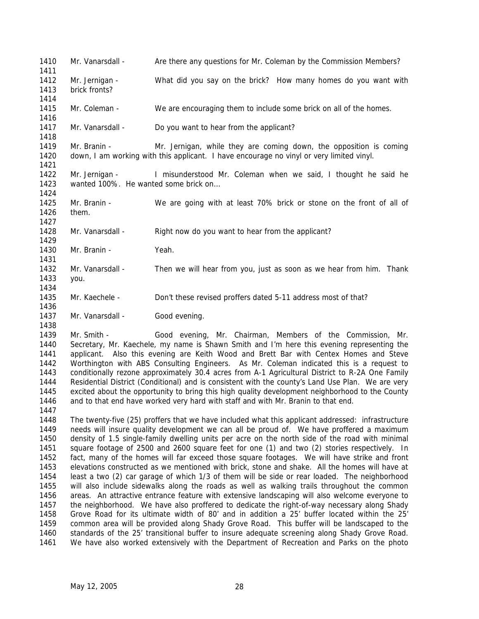Mr. Vanarsdall - Are there any questions for Mr. Coleman by the Commission Members? Mr. Jernigan - What did you say on the brick? How many homes do you want with brick fronts? Mr. Coleman - We are encouraging them to include some brick on all of the homes. 1417 Mr. Vanarsdall - Do you want to hear from the applicant? Mr. Branin - Mr. Jernigan, while they are coming down, the opposition is coming down, I am working with this applicant. I have encourage no vinyl or very limited vinyl. Mr. Jernigan - I misunderstood Mr. Coleman when we said, I thought he said he wanted 100%. He wanted some brick on… Mr. Branin - We are going with at least 70% brick or stone on the front of all of them. Mr. Vanarsdall - Right now do you want to hear from the applicant? Mr. Branin - Yeah. Mr. Vanarsdall - Then we will hear from you, just as soon as we hear from him. Thank you. Mr. Kaechele - Don't these revised proffers dated 5-11 address most of that? 1437 Mr. Vanarsdall - Good evening.

 1439 Mr. Smith - Good evening, Mr. Chairman, Members of the Commission, Mr. Secretary, Mr. Kaechele, my name is Shawn Smith and I'm here this evening representing the applicant. Also this evening are Keith Wood and Brett Bar with Centex Homes and Steve Worthington with ABS Consulting Engineers. As Mr. Coleman indicated this is a request to conditionally rezone approximately 30.4 acres from A-1 Agricultural District to R-2A One Family Residential District (Conditional) and is consistent with the county's Land Use Plan. We are very excited about the opportunity to bring this high quality development neighborhood to the County and to that end have worked very hard with staff and with Mr. Branin to that end.

 The twenty-five (25) proffers that we have included what this applicant addressed: infrastructure needs will insure quality development we can all be proud of. We have proffered a maximum density of 1.5 single-family dwelling units per acre on the north side of the road with minimal square footage of 2500 and 2600 square feet for one (1) and two (2) stories respectively. In fact, many of the homes will far exceed those square footages. We will have strike and front elevations constructed as we mentioned with brick, stone and shake. All the homes will have at least a two (2) car garage of which 1/3 of them will be side or rear loaded. The neighborhood will also include sidewalks along the roads as well as walking trails throughout the common areas. An attractive entrance feature with extensive landscaping will also welcome everyone to the neighborhood. We have also proffered to dedicate the right-of-way necessary along Shady Grove Road for its ultimate width of 80' and in addition a 25' buffer located within the 25' common area will be provided along Shady Grove Road. This buffer will be landscaped to the standards of the 25' transitional buffer to insure adequate screening along Shady Grove Road. We have also worked extensively with the Department of Recreation and Parks on the photo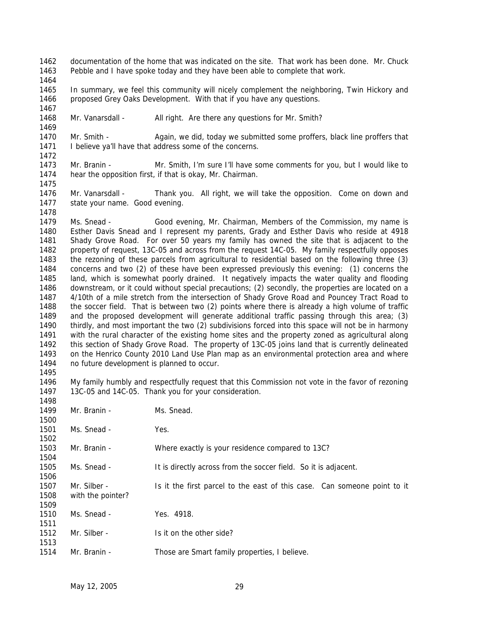- documentation of the home that was indicated on the site. That work has been done. Mr. Chuck Pebble and I have spoke today and they have been able to complete that work.
- 

- In summary, we feel this community will nicely complement the neighboring, Twin Hickory and proposed Grey Oaks Development. With that if you have any questions.
- Mr. Vanarsdall All right. Are there any questions for Mr. Smith?
- Mr. Smith Again, we did, today we submitted some proffers, black line proffers that 1471 I believe ya'll have that address some of the concerns.
- Mr. Branin Mr. Smith, I'm sure I'll have some comments for you, but I would like to hear the opposition first, if that is okay, Mr. Chairman.
- Mr. Vanarsdall Thank you. All right, we will take the opposition. Come on down and state your name. Good evening.
- Ms. Snead Good evening, Mr. Chairman, Members of the Commission, my name is Esther Davis Snead and I represent my parents, Grady and Esther Davis who reside at 4918 Shady Grove Road. For over 50 years my family has owned the site that is adjacent to the property of request, 13C-05 and across from the request 14C-05. My family respectfully opposes the rezoning of these parcels from agricultural to residential based on the following three (3) concerns and two (2) of these have been expressed previously this evening: (1) concerns the land, which is somewhat poorly drained. It negatively impacts the water quality and flooding downstream, or it could without special precautions; (2) secondly, the properties are located on a 4/10th of a mile stretch from the intersection of Shady Grove Road and Pouncey Tract Road to the soccer field. That is between two (2) points where there is already a high volume of traffic and the proposed development will generate additional traffic passing through this area; (3) thirdly, and most important the two (2) subdivisions forced into this space will not be in harmony with the rural character of the existing home sites and the property zoned as agricultural along this section of Shady Grove Road. The property of 13C-05 joins land that is currently delineated on the Henrico County 2010 Land Use Plan map as an environmental protection area and where no future development is planned to occur.
- My family humbly and respectfully request that this Commission not vote in the favor of rezoning 13C-05 and 14C-05. Thank you for your consideration.

| 1499                 | Mr. Branin -                      | Ms. Snead.                                                               |
|----------------------|-----------------------------------|--------------------------------------------------------------------------|
| 1500                 |                                   |                                                                          |
| 1501<br>1502         | Ms. Snead -                       | Yes.                                                                     |
| 1503<br>1504         | Mr. Branin -                      | Where exactly is your residence compared to 13C?                         |
| 1505<br>1506         | Ms. Snead -                       | It is directly across from the soccer field. So it is adjacent.          |
| 1507<br>1508<br>1509 | Mr. Silber -<br>with the pointer? | Is it the first parcel to the east of this case. Can someone point to it |
| 1510<br>1511         | Ms. Snead -                       | Yes. 4918.                                                               |
| 1512<br>1513         | Mr. Silber -                      | Is it on the other side?                                                 |
| 1514                 | Mr. Branin -                      | Those are Smart family properties, I believe.                            |
|                      |                                   |                                                                          |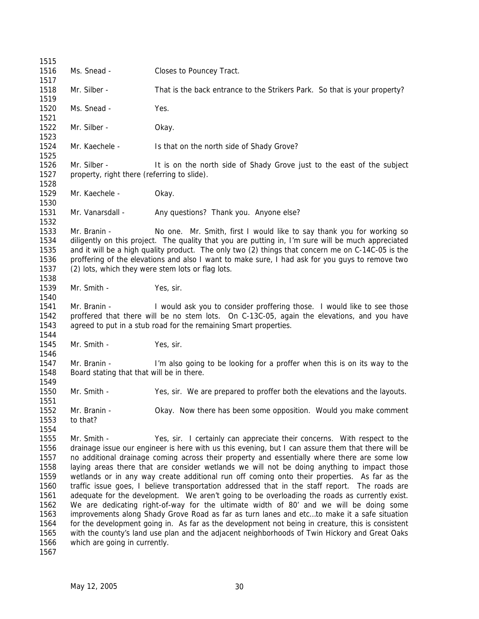| 1515         |                                             |                                                                                                    |
|--------------|---------------------------------------------|----------------------------------------------------------------------------------------------------|
| 1516         | Ms. Snead -                                 | Closes to Pouncey Tract.                                                                           |
| 1517         |                                             |                                                                                                    |
| 1518<br>1519 | Mr. Silber -                                | That is the back entrance to the Strikers Park. So that is your property?                          |
| 1520<br>1521 | Ms. Snead -                                 | Yes.                                                                                               |
| 1522<br>1523 | Mr. Silber -                                | Okay.                                                                                              |
| 1524         | Mr. Kaechele -                              | Is that on the north side of Shady Grove?                                                          |
| 1525<br>1526 | Mr. Silber -                                |                                                                                                    |
| 1527         | property, right there (referring to slide). | It is on the north side of Shady Grove just to the east of the subject                             |
| 1528         |                                             |                                                                                                    |
| 1529<br>1530 | Mr. Kaechele -                              | Okay.                                                                                              |
| 1531<br>1532 | Mr. Vanarsdall -                            | Any questions? Thank you. Anyone else?                                                             |
| 1533         | Mr. Branin -                                | No one. Mr. Smith, first I would like to say thank you for working so                              |
| 1534         |                                             | diligently on this project. The quality that you are putting in, I'm sure will be much appreciated |
| 1535         |                                             | and it will be a high quality product. The only two (2) things that concern me on C-14C-05 is the  |
| 1536         |                                             | proffering of the elevations and also I want to make sure, I had ask for you guys to remove two    |
| 1537         |                                             | (2) lots, which they were stem lots or flag lots.                                                  |
| 1538         |                                             |                                                                                                    |
| 1539         | Mr. Smith -                                 | Yes, sir.                                                                                          |
| 1540         |                                             |                                                                                                    |
| 1541         | Mr. Branin -                                | I would ask you to consider proffering those. I would like to see those                            |
| 1542         |                                             | proffered that there will be no stem lots. On C-13C-05, again the elevations, and you have         |
| 1543         |                                             | agreed to put in a stub road for the remaining Smart properties.                                   |
| 1544         |                                             |                                                                                                    |
| 1545         | Mr. Smith -                                 | Yes, sir.                                                                                          |
| 1546         |                                             |                                                                                                    |
| 1547         | Mr. Branin -                                | I'm also going to be looking for a proffer when this is on its way to the                          |
| 1548         | Board stating that that will be in there.   |                                                                                                    |
| 1549         |                                             |                                                                                                    |
| 1550         | Mr. Smith -                                 | Yes, sir. We are prepared to proffer both the elevations and the layouts.                          |
| 1551         |                                             |                                                                                                    |
| 1552         | Mr. Branin -                                | Okay. Now there has been some opposition. Would you make comment                                   |
| 1553         | to that?                                    |                                                                                                    |
| 1554         |                                             |                                                                                                    |
| 1555         | Mr. Smith -                                 | Yes, sir. I certainly can appreciate their concerns. With respect to the                           |
| 1556         |                                             | drainage issue our engineer is here with us this evening, but I can assure them that there will be |
| 1557         |                                             | no additional drainage coming across their property and essentially where there are some low       |
| 1558         |                                             | laying areas there that are consider wetlands we will not be doing anything to impact those        |
| 1559         |                                             | wetlands or in any way create additional run off coming onto their properties. As far as the       |
| 1560         |                                             | traffic issue goes, I believe transportation addressed that in the staff report. The roads are     |
| 1561         |                                             | adequate for the development. We aren't going to be overloading the roads as currently exist.      |
| 1562         |                                             | We are dedicating right-of-way for the ultimate width of 80' and we will be doing some             |
| 1563         |                                             | improvements along Shady Grove Road as far as turn lanes and etcto make it a safe situation        |
| 1564         |                                             | for the development going in. As far as the development not being in creature, this is consistent  |
| 1565         |                                             | with the county's land use plan and the adjacent neighborhoods of Twin Hickory and Great Oaks      |
| 1566         | which are going in currently.               |                                                                                                    |
| 1567         |                                             |                                                                                                    |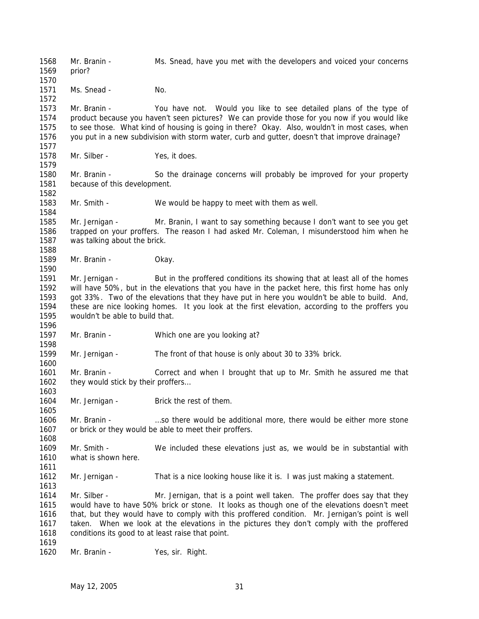Mr. Branin - Ms. Snead, have you met with the developers and voiced your concerns prior? Ms. Snead - No. Mr. Branin - You have not. Would you like to see detailed plans of the type of product because you haven't seen pictures? We can provide those for you now if you would like to see those. What kind of housing is going in there? Okay. Also, wouldn't in most cases, when you put in a new subdivision with storm water, curb and gutter, doesn't that improve drainage? 1578 Mr. Silber - Yes, it does. Mr. Branin - So the drainage concerns will probably be improved for your property because of this development. Mr. Smith - We would be happy to meet with them as well. Mr. Jernigan - Mr. Branin, I want to say something because I don't want to see you get trapped on your proffers. The reason I had asked Mr. Coleman, I misunderstood him when he was talking about the brick. Mr. Branin - Okay. 1591 Mr. Jernigan - But in the proffered conditions its showing that at least all of the homes will have 50%, but in the elevations that you have in the packet here, this first home has only got 33%. Two of the elevations that they have put in here you wouldn't be able to build. And, these are nice looking homes. It you look at the first elevation, according to the proffers you wouldn't be able to build that. Mr. Branin - Which one are you looking at? Mr. Jernigan - The front of that house is only about 30 to 33% brick. Mr. Branin - Correct and when I brought that up to Mr. Smith he assured me that 1602 they would stick by their proffers... 1604 Mr. Jernigan - Brick the rest of them. Mr. Branin - …so there would be additional more, there would be either more stone 1607 or brick or they would be able to meet their proffers. Mr. Smith - We included these elevations just as, we would be in substantial with what is shown here. 1612 Mr. Jernigan - That is a nice looking house like it is. I was just making a statement. Mr. Silber - Mr. Jernigan, that is a point well taken. The proffer does say that they would have to have 50% brick or stone. It looks as though one of the elevations doesn't meet that, but they would have to comply with this proffered condition. Mr. Jernigan's point is well taken. When we look at the elevations in the pictures they don't comply with the proffered conditions its good to at least raise that point. 1620 Mr. Branin - Yes, sir. Right.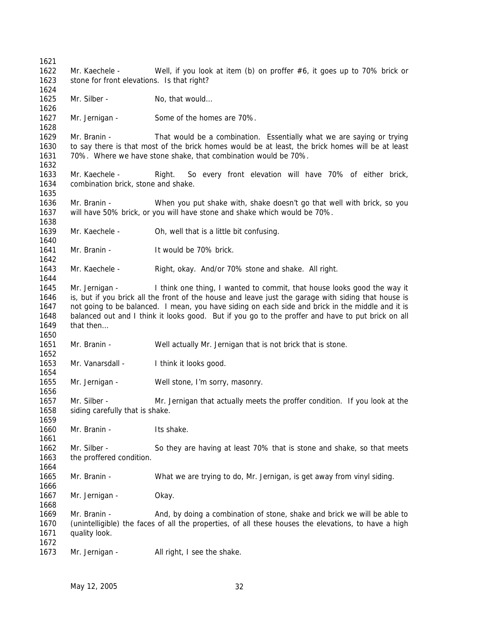Mr. Kaechele - Well, if you look at item (b) on proffer #6, it goes up to 70% brick or stone for front elevations. Is that right? 1625 Mr. Silber - No, that would... 1627 Mr. Jernigan - Some of the homes are 70%. Mr. Branin - That would be a combination. Essentially what we are saying or trying to say there is that most of the brick homes would be at least, the brick homes will be at least 70%. Where we have stone shake, that combination would be 70%. Mr. Kaechele - Right. So every front elevation will have 70% of either brick, combination brick, stone and shake. Mr. Branin - When you put shake with, shake doesn't go that well with brick, so you will have 50% brick, or you will have stone and shake which would be 70%. 1639 Mr. Kaechele - Oh, well that is a little bit confusing. 1641 Mr. Branin - It would be 70% brick. Mr. Kaechele - Right, okay. And/or 70% stone and shake. All right. 1645 Mr. Jernigan - I think one thing, I wanted to commit, that house looks good the way it is, but if you brick all the front of the house and leave just the garage with siding that house is not going to be balanced. I mean, you have siding on each side and brick in the middle and it is balanced out and I think it looks good. But if you go to the proffer and have to put brick on all that then… Mr. Branin - Well actually Mr. Jernigan that is not brick that is stone. 1653 Mr. Vanarsdall - I think it looks good. Mr. Jernigan - Well stone, I'm sorry, masonry. Mr. Silber - Mr. Jernigan that actually meets the proffer condition. If you look at the siding carefully that is shake. 1660 Mr. Branin - Its shake. Mr. Silber - So they are having at least 70% that is stone and shake, so that meets the proffered condition. Mr. Branin - What we are trying to do, Mr. Jernigan, is get away from vinyl siding. 1667 Mr. Jernigan - Okay. Mr. Branin - And, by doing a combination of stone, shake and brick we will be able to (unintelligible) the faces of all the properties, of all these houses the elevations, to have a high quality look. 1673 Mr. Jernigan - All right, I see the shake.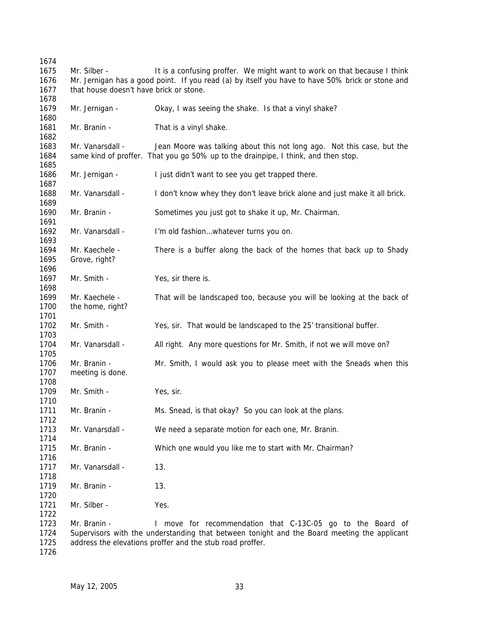| 1674 |                                         |                                                                                                  |
|------|-----------------------------------------|--------------------------------------------------------------------------------------------------|
| 1675 | Mr. Silber -                            | It is a confusing proffer. We might want to work on that because I think                         |
| 1676 |                                         | Mr. Jernigan has a good point. If you read (a) by itself you have to have 50% brick or stone and |
| 1677 | that house doesn't have brick or stone. |                                                                                                  |
| 1678 |                                         |                                                                                                  |
| 1679 | Mr. Jernigan -                          | Okay, I was seeing the shake. Is that a vinyl shake?                                             |
| 1680 |                                         |                                                                                                  |
| 1681 | Mr. Branin -                            | That is a vinyl shake.                                                                           |
| 1682 |                                         |                                                                                                  |
| 1683 | Mr. Vanarsdall -                        | Jean Moore was talking about this not long ago. Not this case, but the                           |
| 1684 |                                         | same kind of proffer. That you go 50% up to the drainpipe, I think, and then stop.               |
| 1685 |                                         |                                                                                                  |
| 1686 | Mr. Jernigan -                          | I just didn't want to see you get trapped there.                                                 |
| 1687 |                                         |                                                                                                  |
| 1688 | Mr. Vanarsdall -                        | I don't know whey they don't leave brick alone and just make it all brick.                       |
| 1689 |                                         |                                                                                                  |
| 1690 | Mr. Branin -                            | Sometimes you just got to shake it up, Mr. Chairman.                                             |
| 1691 |                                         |                                                                                                  |
| 1692 | Mr. Vanarsdall -                        | I'm old fashionwhatever turns you on.                                                            |
| 1693 |                                         |                                                                                                  |
| 1694 | Mr. Kaechele -                          | There is a buffer along the back of the homes that back up to Shady                              |
| 1695 | Grove, right?                           |                                                                                                  |
| 1696 |                                         |                                                                                                  |
| 1697 | Mr. Smith -                             | Yes, sir there is.                                                                               |
| 1698 |                                         |                                                                                                  |
| 1699 | Mr. Kaechele -                          | That will be landscaped too, because you will be looking at the back of                          |
| 1700 | the home, right?                        |                                                                                                  |
| 1701 |                                         |                                                                                                  |
| 1702 | Mr. Smith -                             | Yes, sir. That would be landscaped to the 25' transitional buffer.                               |
| 1703 |                                         |                                                                                                  |
| 1704 | Mr. Vanarsdall -                        | All right. Any more questions for Mr. Smith, if not we will move on?                             |
| 1705 |                                         |                                                                                                  |
| 1706 | Mr. Branin -                            | Mr. Smith, I would ask you to please meet with the Sneads when this                              |
| 1707 | meeting is done.                        |                                                                                                  |
| 1708 |                                         |                                                                                                  |
| 1709 | Mr. Smith -                             | Yes, sir.                                                                                        |
| 1710 |                                         |                                                                                                  |
| 1711 | Mr. Branin -                            | Ms. Snead, is that okay? So you can look at the plans.                                           |
| 1712 |                                         |                                                                                                  |
| 1713 | Mr. Vanarsdall -                        | We need a separate motion for each one, Mr. Branin.                                              |
| 1714 |                                         |                                                                                                  |
| 1715 | Mr. Branin -                            | Which one would you like me to start with Mr. Chairman?                                          |
| 1716 |                                         |                                                                                                  |
| 1717 | Mr. Vanarsdall -                        | 13.                                                                                              |
| 1718 |                                         |                                                                                                  |
| 1719 | Mr. Branin -                            | 13.                                                                                              |
| 1720 |                                         |                                                                                                  |
| 1721 | Mr. Silber -                            | Yes.                                                                                             |
| 1722 |                                         |                                                                                                  |
| 1723 | Mr. Branin -                            | I move for recommendation that C-13C-05 go to the Board of                                       |
| 1724 |                                         | Supervisors with the understanding that between tonight and the Board meeting the applicant      |
| 1725 |                                         | address the elevations proffer and the stub road proffer.                                        |
| 1726 |                                         |                                                                                                  |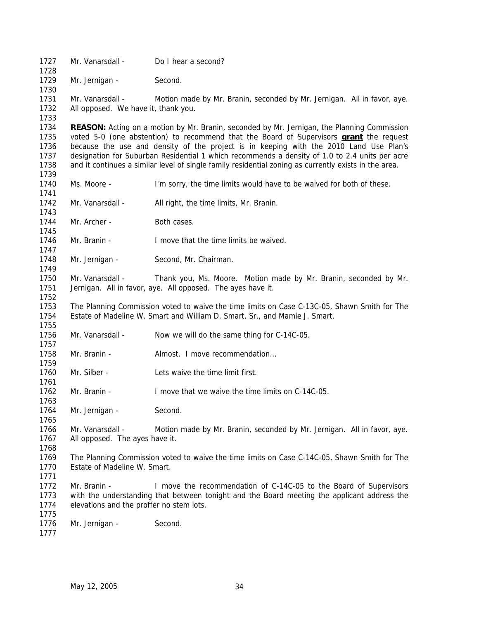| 1727<br>1728                 | Mr. Vanarsdall -                                         | Do I hear a second?                                                                                                                                                                                                                                                                                                                                                                              |
|------------------------------|----------------------------------------------------------|--------------------------------------------------------------------------------------------------------------------------------------------------------------------------------------------------------------------------------------------------------------------------------------------------------------------------------------------------------------------------------------------------|
| 1729<br>1730                 | Mr. Jernigan -                                           | Second.                                                                                                                                                                                                                                                                                                                                                                                          |
| 1731<br>1732<br>1733         | Mr. Vanarsdall -<br>All opposed. We have it, thank you.  | Motion made by Mr. Branin, seconded by Mr. Jernigan. All in favor, aye.                                                                                                                                                                                                                                                                                                                          |
| 1734<br>1735<br>1736<br>1737 |                                                          | <b>REASON:</b> Acting on a motion by Mr. Branin, seconded by Mr. Jernigan, the Planning Commission<br>voted 5-0 (one abstention) to recommend that the Board of Supervisors <b>grant</b> the request<br>because the use and density of the project is in keeping with the 2010 Land Use Plan's<br>designation for Suburban Residential 1 which recommends a density of 1.0 to 2.4 units per acre |
| 1738<br>1739                 |                                                          | and it continues a similar level of single family residential zoning as currently exists in the area.                                                                                                                                                                                                                                                                                            |
| 1740<br>1741                 | Ms. Moore -                                              | I'm sorry, the time limits would have to be waived for both of these.                                                                                                                                                                                                                                                                                                                            |
| 1742<br>1743                 | Mr. Vanarsdall -                                         | All right, the time limits, Mr. Branin.                                                                                                                                                                                                                                                                                                                                                          |
| 1744<br>1745                 | Mr. Archer -                                             | Both cases.                                                                                                                                                                                                                                                                                                                                                                                      |
| 1746<br>1747                 | Mr. Branin -                                             | I move that the time limits be waived.                                                                                                                                                                                                                                                                                                                                                           |
| 1748<br>1749                 | Mr. Jernigan -                                           | Second, Mr. Chairman.                                                                                                                                                                                                                                                                                                                                                                            |
| 1750<br>1751<br>1752         | Mr. Vanarsdall -                                         | Thank you, Ms. Moore. Motion made by Mr. Branin, seconded by Mr.<br>Jernigan. All in favor, aye. All opposed. The ayes have it.                                                                                                                                                                                                                                                                  |
| 1753<br>1754<br>1755         |                                                          | The Planning Commission voted to waive the time limits on Case C-13C-05, Shawn Smith for The<br>Estate of Madeline W. Smart and William D. Smart, Sr., and Mamie J. Smart.                                                                                                                                                                                                                       |
| 1756<br>1757                 | Mr. Vanarsdall -                                         | Now we will do the same thing for C-14C-05.                                                                                                                                                                                                                                                                                                                                                      |
| 1758<br>1759                 | Mr. Branin -                                             | Almost. I move recommendation                                                                                                                                                                                                                                                                                                                                                                    |
| 1760<br>1761                 | Mr. Silber -                                             | Lets waive the time limit first.                                                                                                                                                                                                                                                                                                                                                                 |
| 1762<br>1763                 | Mr. Branin -                                             | I move that we waive the time limits on C-14C-05.                                                                                                                                                                                                                                                                                                                                                |
| 1764<br>1765                 | Mr. Jernigan -                                           | Second.                                                                                                                                                                                                                                                                                                                                                                                          |
| 1766<br>1767<br>1768         | Mr. Vanarsdall -<br>All opposed. The ayes have it.       | Motion made by Mr. Branin, seconded by Mr. Jernigan. All in favor, aye.                                                                                                                                                                                                                                                                                                                          |
| 1769<br>1770                 | Estate of Madeline W. Smart.                             | The Planning Commission voted to waive the time limits on Case C-14C-05, Shawn Smith for The                                                                                                                                                                                                                                                                                                     |
| 1771<br>1772<br>1773<br>1774 | Mr. Branin -<br>elevations and the proffer no stem lots. | I move the recommendation of C-14C-05 to the Board of Supervisors<br>with the understanding that between tonight and the Board meeting the applicant address the                                                                                                                                                                                                                                 |
| 1775<br>1776<br>1777         | Mr. Jernigan -                                           | Second.                                                                                                                                                                                                                                                                                                                                                                                          |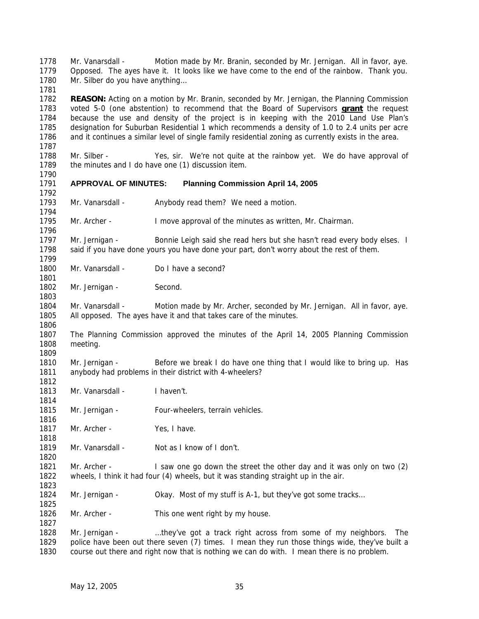Mr. Vanarsdall - Motion made by Mr. Branin, seconded by Mr. Jernigan. All in favor, aye. Opposed. The ayes have it. It looks like we have come to the end of the rainbow. Thank you. 1780 Mr. Silber do you have anything... 

 **REASON:** Acting on a motion by Mr. Branin, seconded by Mr. Jernigan, the Planning Commission voted 5-0 (one abstention) to recommend that the Board of Supervisors **grant** the request because the use and density of the project is in keeping with the 2010 Land Use Plan's designation for Suburban Residential 1 which recommends a density of 1.0 to 2.4 units per acre and it continues a similar level of single family residential zoning as currently exists in the area.

 Mr. Silber - Yes, sir. We're not quite at the rainbow yet. We do have approval of the minutes and I do have one (1) discussion item.

### **APPROVAL OF MINUTES: Planning Commission April 14, 2005**

1793 Mr. Vanarsdall - Anybody read them? We need a motion.

Mr. Archer - I move approval of the minutes as written, Mr. Chairman.

 Mr. Jernigan - Bonnie Leigh said she read hers but she hasn't read every body elses. I said if you have done yours you have done your part, don't worry about the rest of them.

Mr. Vanarsdall - Do I have a second?

1802 Mr. Jernigan - Second.

 Mr. Vanarsdall - Motion made by Mr. Archer, seconded by Mr. Jernigan. All in favor, aye. All opposed. The ayes have it and that takes care of the minutes.

 The Planning Commission approved the minutes of the April 14, 2005 Planning Commission meeting.

 Mr. Jernigan - Before we break I do have one thing that I would like to bring up. Has anybody had problems in their district with 4-wheelers? 

1813 Mr. Vanarsdall - I haven't.

Mr. Jernigan - Four-wheelers, terrain vehicles.

1817 Mr. Archer - Yes, I have.

1819 Mr. Vanarsdall - Not as I know of I don't.

 Mr. Archer - I saw one go down the street the other day and it was only on two (2) wheels, I think it had four (4) wheels, but it was standing straight up in the air. 

- 1824 Mr. Jernigan Okay. Most of my stuff is A-1, but they've got some tracks...
- 1826 Mr. Archer This one went right by my house.

 Mr. Jernigan - …they've got a track right across from some of my neighbors. The police have been out there seven (7) times. I mean they run those things wide, they've built a course out there and right now that is nothing we can do with. I mean there is no problem.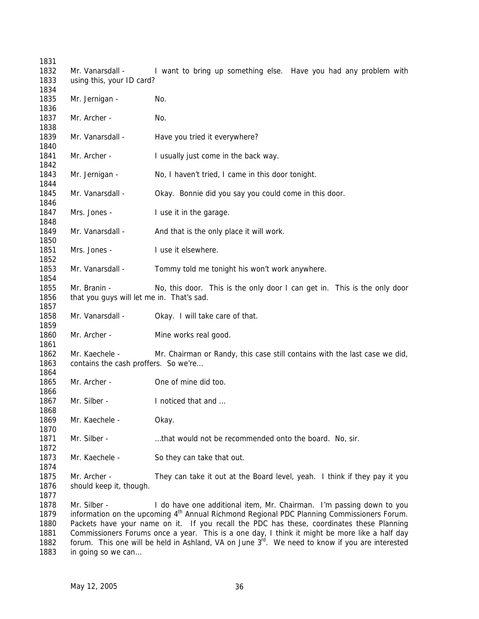1832 Mr. Vanarsdall - I want to bring up something else. Have you had any problem with using this, your ID card? 1835 Mr. Jernigan - No. 1837 Mr. Archer - No. 1839 Mr. Vanarsdall - Have you tried it everywhere? 1841 Mr. Archer - I usually just come in the back way. Mr. Jernigan - No, I haven't tried, I came in this door tonight. 1845 Mr. Vanarsdall - Okay. Bonnie did you say you could come in this door. 1847 Mrs. Jones - I use it in the garage. 1849 Mr. Vanarsdall - And that is the only place it will work. 1851 Mrs. Jones - I use it elsewhere. Mr. Vanarsdall - Tommy told me tonight his won't work anywhere. Mr. Branin - No, this door. This is the only door I can get in. This is the only door that you guys will let me in. That's sad. 1858 Mr. Vanarsdall - Okay. I will take care of that. 1860 Mr. Archer - Mine works real good. Mr. Kaechele - Mr. Chairman or Randy, this case still contains with the last case we did, 1863 contains the cash proffers. So we're... Mr. Archer - One of mine did too. 1867 Mr. Silber - Inoticed that and ... 1869 Mr. Kaechele - Okay. Mr. Silber - …that would not be recommended onto the board. No, sir. 1873 Mr. Kaechele - So they can take that out. Mr. Archer - They can take it out at the Board level, yeah. I think if they pay it you should keep it, though. Mr. Silber - I do have one additional item, Mr. Chairman. I'm passing down to you 1879 information on the upcoming 4<sup>th</sup> Annual Richmond Regional PDC Planning Commissioners Forum. Packets have your name on it. If you recall the PDC has these, coordinates these Planning

 Commissioners Forums once a year. This is a one day, I think it might be more like a half day 1882 forum. This one will be held in Ashland, VA on June  $3^{rd}$ . We need to know if you are interested 1883 in going so we can...